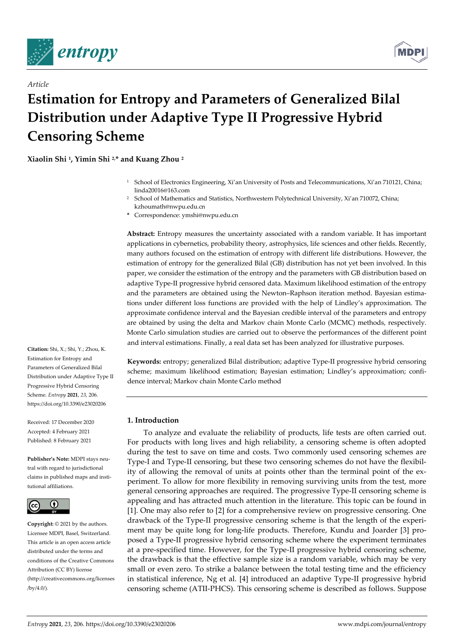

*Article*



# **Estimation for Entropy and Parameters of Generalized Bilal Distribution under Adaptive Type II Progressive Hybrid Censoring Scheme**

**Xiaolin Shi 1, Yimin Shi 2, \* and Kuang Zhou 2**

- <sup>1</sup> School of Electronics Engineering, Xi'an University of Posts and Telecommunications, Xi'an 710121, China; linda20016@163.com
- <sup>2</sup> School of Mathematics and Statistics, Northwestern Polytechnical University, Xi'an 710072, China; kzhoumath@nwpu.edu.cn
- **\*** Correspondence: ymshi@nwpu.edu.cn

**Abstract:** Entropy measures the uncertainty associated with a random variable. It has important applications in cybernetics, probability theory, astrophysics, life sciences and other fields. Recently, many authors focused on the estimation of entropy with different life distributions. However, the estimation of entropy for the generalized Bilal (GB) distribution has not yet been involved. In this paper, we consider the estimation of the entropy and the parameters with GB distribution based on adaptive Type-II progressive hybrid censored data. Maximum likelihood estimation of the entropy and the parameters are obtained using the Newton–Raphson iteration method. Bayesian estimations under different loss functions are provided with the help of Lindley's approximation. The approximate confidence interval and the Bayesian credible interval of the parameters and entropy are obtained by using the delta and Markov chain Monte Carlo (MCMC) methods, respectively. Monte Carlo simulation studies are carried out to observe the performances of the different point and interval estimations. Finally, a real data set has been analyzed for illustrative purposes.

**Keywords:** entropy; generalized Bilal distribution; adaptive Type-II progressive hybrid censoring scheme; maximum likelihood estimation; Bayesian estimation; Lindley's approximation; confidence interval; Markov chain Monte Carlo method

# **1. Introduction**

To analyze and evaluate the reliability of products, life tests are often carried out. For products with long lives and high reliability, a censoring scheme is often adopted during the test to save on time and costs. Two commonly used censoring schemes are Type-I and Type-II censoring, but these two censoring schemes do not have the flexibility of allowing the removal of units at points other than the terminal point of the experiment. To allow for more flexibility in removing surviving units from the test, more general censoring approaches are required. The progressive Type-II censoring scheme is appealing and has attracted much attention in the literature. This topic can be found in [1]. One may also refer to [2] for a comprehensive review on progressive censoring. One drawback of the Type-II progressive censoring scheme is that the length of the experiment may be quite long for long-life products. Therefore, Kundu and Joarder [3] proposed a Type-II progressive hybrid censoring scheme where the experiment terminates at a pre-specified time. However, for the Type-II progressive hybrid censoring scheme, the drawback is that the effective sample size is a random variable, which may be very small or even zero. To strike a balance between the total testing time and the efficiency in statistical inference, Ng et al. [4] introduced an adaptive Type-II progressive hybrid censoring scheme (ATII-PHCS). This censoring scheme is described as follows. Suppose

**Citation:** Shi, X.; Shi, Y.; Zhou, K. Estimation for Entropy and Parameters of Generalized Bilal Distribution under Adaptive Type II Progressive Hybrid Censoring Scheme. *Entropy* **2021**, *23*, 206. https://doi.org/10.3390/e23020206

Received: 17 December 2020 Accepted: 4 February 2021 Published: 8 February 2021

**Publisher's Note:** MDPI stays neutral with regard to jurisdictional claims in published maps and institutional affiliations.



**Copyright:** © 2021 by the authors. Licensee MDPI, Basel, Switzerland. This article is an open access article distributed under the terms and conditions of the Creative Commons Attribution (CC BY) license (http://creativecommons.org/licenses /by/4.0/).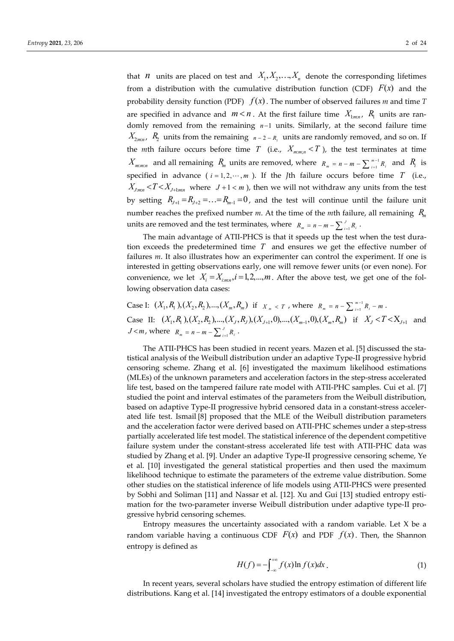that *n* units are placed on test and  $X_1, X_2, \ldots, X_n$  denote the corresponding lifetimes from a distribution with the cumulative distribution function (CDF)  $F(x)$  and the probability density function (PDF)  $f(x)$ . The number of observed failures *m* and time *T* are specified in advance and  $m < n$ . At the first failure time  $X_{1:m,n}$ ,  $R_1$  units are randomly removed from the remaining  $n-1$  units. Similarly, at the second failure time  $X_{2mn}$ ,  $R_2$  units from the remaining  $n-2-R_1$  units are randomly removed, and so on. If the *m*th failure occurs before time *T* (i.e.,  $X_{m,m,n} < T$ ), the test terminates at time  $X_{m:m:n}$  and all remaining  $R_m$  units are removed, where  $R_m = n - m - \sum_{i=1}^{m-1} R_i$  $R_m = n - m - \sum_{i=1}^{m-1} R_i$  and  $R_i$  is specified in advance ( $i = 1, 2, \dots, m$ ). If the *J*th failure occurs before time *T* (i.e.,  $X_{J_{mnn}} < T < X_{J+1_{mnn}}$  where  $J+1 < m$ , then we will not withdraw any units from the test by setting  $R_{I+1} = R_{I+2} = \ldots = R_{m-1} = 0$ , and the test will continue until the failure unit number reaches the prefixed number *m*. At the time of the *m*th failure, all remaining  $R_m$ units are removed and the test terminates, where  $R_m = n - m - \sum_{i=1}^{J} R_i$ .

The main advantage of ATII-PHCS is that it speeds up the test when the test duration exceeds the predetermined time *T* and ensures we get the effective number of failures *m*. It also illustrates how an experimenter can control the experiment. If one is interested in getting observations early, one will remove fewer units (or even none). For convenience, we let  $X_i = X_{i,mn}$ ,  $i = 1,2,...,m$ . After the above test, we get one of the following observation data cases:

Case I: 
$$
(X_1, R_1), (X_2, R_2), ..., (X_m, R_m)
$$
 if  $x_m < r$ , where  $R_m = n - \sum_{i=1}^{m-1} R_i - m$ .  
Case II:  $(X_1, R_1), (X_2, R_2), ..., (X_J, R_J), (X_{J+1}, 0), ..., (X_{m-1}, 0), (X_m, R_m)$  if  $X_J < T < X_{J+1}$  and  $J < m$ , where  $R_m = n - m - \sum_{i=1}^{J} R_i$ .

The ATII-PHCS has been studied in recent years. Mazen et al. [5] discussed the statistical analysis of the Weibull distribution under an adaptive Type-II progressive hybrid censoring scheme. Zhang et al. [6] investigated the maximum likelihood estimations (MLEs) of the unknown parameters and acceleration factors in the step-stress accelerated life test, based on the tampered failure rate model with ATII-PHC samples. Cui et al. [7] studied the point and interval estimates of the parameters from the Weibull distribution, based on adaptive Type-II progressive hybrid censored data in a constant-stress accelerated life test. Ismail [8] proposed that the MLE of the Weibull distribution parameters and the acceleration factor were derived based on ATII-PHC schemes under a step-stress partially accelerated life test model. The statistical inference of the dependent competitive failure system under the constant-stress accelerated life test with ATII-PHC data was studied by Zhang et al. [9]. Under an adaptive Type-II progressive censoring scheme, Ye et al. [10] investigated the general statistical properties and then used the maximum likelihood technique to estimate the parameters of the extreme value distribution. Some other studies on the statistical inference of life models using ATII-PHCS were presented by Sobhi and Soliman [11] and Nassar et al. [12]. Xu and Gui [13] studied entropy estimation for the two-parameter inverse Weibull distribution under adaptive type-II progressive hybrid censoring schemes.

Entropy measures the uncertainty associated with a random variable. Let X be a random variable having a continuous CDF  $F(x)$  and PDF  $f(x)$ . Then, the Shannon entropy is defined as

$$
H(f) = -\int_{-\infty}^{+\infty} f(x) \ln f(x) dx.
$$
 (1)

In recent years, several scholars have studied the entropy estimation of different life distributions. Kang et al. [14] investigated the entropy estimators of a double exponential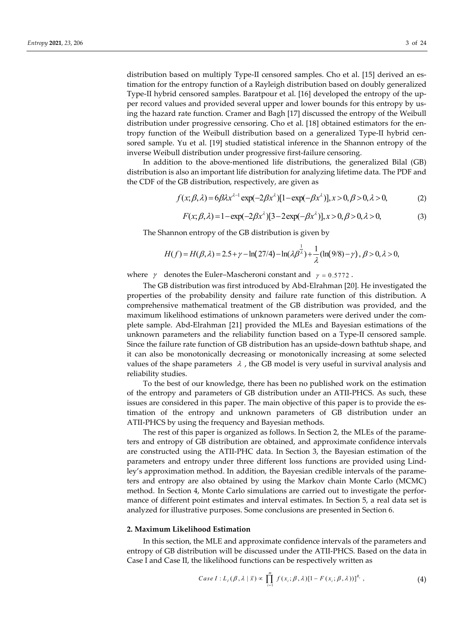distribution based on multiply Type-II censored samples. Cho et al. [15] derived an estimation for the entropy function of a Rayleigh distribution based on doubly generalized Type-II hybrid censored samples. Baratpour et al. [16] developed the entropy of the upper record values and provided several upper and lower bounds for this entropy by using the hazard rate function. Cramer and Bagh [17] discussed the entropy of the Weibull distribution under progressive censoring. Cho et al. [18] obtained estimators for the entropy function of the Weibull distribution based on a generalized Type-II hybrid censored sample. Yu et al. [19] studied statistical inference in the Shannon entropy of the inverse Weibull distribution under progressive first-failure censoring.

In addition to the above-mentioned life distributions, the generalized Bilal (GB) distribution is also an important life distribution for analyzing lifetime data. The PDF and the CDF of the GB distribution, respectively, are given as

$$
f(x; \beta, \lambda) = 6\beta\lambda x^{\lambda - 1} \exp(-2\beta x^{\lambda}) [1 - \exp(-\beta x^{\lambda})], x > 0, \beta > 0, \lambda > 0,
$$
 (2)

$$
F(x; \beta, \lambda) = 1 - \exp(-2\beta x^{\lambda}) [3 - 2\exp(-\beta x^{\lambda})], x > 0, \beta > 0, \lambda > 0,
$$
 (3)

The Shannon entropy of the GB distribution is given by

$$
H(f) = H(\beta, \lambda) = 2.5 + \gamma - \ln(27/4) - \ln(\lambda \beta^{\frac{1}{\lambda}}) + \frac{1}{\lambda} (\ln(9/8) - \gamma), \ \beta > 0, \lambda > 0,
$$

where  $\gamma$  denotes the Euler–Mascheroni constant and  $\gamma = 0.5772$ .

The GB distribution was first introduced by Abd-Elrahman [20]. He investigated the properties of the probability density and failure rate function of this distribution. A comprehensive mathematical treatment of the GB distribution was provided, and the maximum likelihood estimations of unknown parameters were derived under the complete sample. Abd-Elrahman [21] provided the MLEs and Bayesian estimations of the unknown parameters and the reliability function based on a Type-II censored sample. Since the failure rate function of GB distribution has an upside-down bathtub shape, and it can also be monotonically decreasing or monotonically increasing at some selected values of the shape parameters  $\lambda$ , the GB model is very useful in survival analysis and reliability studies.

To the best of our knowledge, there has been no published work on the estimation of the entropy and parameters of GB distribution under an ATII-PHCS. As such, these issues are considered in this paper. The main objective of this paper is to provide the estimation of the entropy and unknown parameters of GB distribution under an ATII-PHCS by using the frequency and Bayesian methods.

The rest of this paper is organized as follows. In Section 2, the MLEs of the parameters and entropy of GB distribution are obtained, and approximate confidence intervals are constructed using the ATII-PHC data. In Section 3, the Bayesian estimation of the parameters and entropy under three different loss functions are provided using Lindley's approximation method. In addition, the Bayesian credible intervals of the parameters and entropy are also obtained by using the Markov chain Monte Carlo (MCMC) method. In Section 4, Monte Carlo simulations are carried out to investigate the performance of different point estimates and interval estimates. In Section 5, a real data set is analyzed for illustrative purposes. Some conclusions are presented in Section 6.

## **2. Maximum Likelihood Estimation**

In this section, the MLE and approximate confidence intervals of the parameters and entropy of GB distribution will be discussed under the ATII-PHCS. Based on the data in Case I and Case II, the likelihood functions can be respectively written as

Case I: 
$$
L_1(\beta, \lambda | \vec{x}) \propto \prod_{i=1}^m f(x_i; \beta, \lambda) [1 - F(x_i; \beta, \lambda))]^{R_i}
$$
, (4)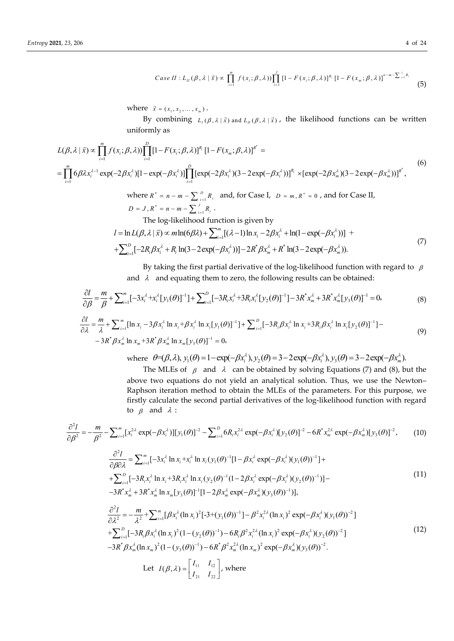Case II: 
$$
L_{II}(\beta, \lambda | \vec{x}) \propto \prod_{i=1}^{m} f(x_i; \beta, \lambda) \prod_{i=1}^{J} [1 - F(x_i; \beta, \lambda)]^{R_i} [1 - F(x_m; \beta, \lambda)]^{n-m-\sum_{i=1}^{J} R_i}
$$
 (5)

where  $\vec{x} = (x_1, x_2, ..., x_m)$ .

By combining  $L_1(\beta, \lambda | \vec{x})$  and  $L_n(\beta, \lambda | \vec{x})$ , the likelihood functions can be written uniformly as

$$
L(\beta, \lambda | \vec{x}) \propto \prod_{i=1}^{m} f(x_i; \beta, \lambda) \prod_{i=1}^{D} [1 - F(x_i; \beta, \lambda)]^{R_i} [1 - F(x_m; \beta, \lambda)]^{R^*} =
$$
\n
$$
= \prod_{i=1}^{m} 6\beta \lambda x_i^{\lambda - 1} \exp(-2\beta x_i^{\lambda}) [1 - \exp(-\beta x_i^{\lambda})] \prod_{i=1}^{D} [\exp(-2\beta x_i^{\lambda})(3 - 2\exp(-\beta x_i^{\lambda}))]^{R_i} \times [\exp(-2\beta x_m^{\lambda})(3 - 2\exp(-\beta x_m^{\lambda}))]^{R^*},
$$
\nwhere  $R^* = n - m - \sum_{i=1}^{D} R_i$  and, for Case I,  $D = m, R^* = 0$ , and for Case II,  
\n
$$
D = J, R^* = n - m - \sum_{i=1}^{J} R_i.
$$
\nThe log-likelihood function is given by  
\n
$$
l = \ln L(\beta, \lambda | \vec{x}) \propto m \ln(6\beta \lambda) + \sum_{i=1}^{m} [( \lambda - 1) \ln x_i - 2\beta x_i^{\lambda} + \ln(1 - \exp(-\beta x_i^{\lambda}))] +
$$
\n
$$
+ \sum_{i=1}^{D} [-2R_i \beta x_i^{\lambda} + R_i \ln(3 - 2\exp(-\beta x_i^{\lambda}))] - 2R^* \beta x_m^{\lambda} + R^* \ln(3 - 2\exp(-\beta x_m^{\lambda})).
$$
\n(7)

By taking the first partial derivative of the log-likelihood function with regard to  $\beta$ and  $\lambda$  and equating them to zero, the following results can be obtained:

$$
\frac{\partial l}{\partial \beta} = \frac{m}{\beta} + \sum_{i=1}^{m} [-3x_i^{\lambda} + x_i^{\lambda} [y_1(\theta)]^{-1}] + \sum_{i=1}^{D} [-3R_i x_i^{\lambda} + 3R_i x_i^{\lambda} [y_2(\theta)]^{-1}] - 3R^* x_m^{\lambda} + 3R^* x_m^{\lambda} [y_3(\theta)]^{-1} = 0,
$$
\n(8)\n
$$
\frac{\partial l}{\partial \lambda} = \frac{m}{\lambda} + \sum_{i=1}^{m} [\ln x_i - 3\beta x_i^{\lambda} \ln x_i + \beta x_i^{\lambda} \ln x_i [y_1(\theta)]^{-1}] + \sum_{i=1}^{D} [-3R_i \beta x_i^{\lambda} \ln x_i + 3R_i \beta x_i^{\lambda} \ln x_i [y_2(\theta)]^{-1}] -
$$
\n(9)

$$
\frac{1}{\partial \lambda} = \frac{1}{\lambda} + \sum_{i=1}^{\infty} [\ln x_i - 3\beta x_i^2 \ln x_i + \beta x_i^2 \ln x_i] y_1(\theta)]^{-1} + \sum_{i=1}^{\infty} [-3R_i \beta x_i^2 \ln x_i + 3R_i \beta x_i^2 \ln x_i] y_2(\theta)]^{-1} - 3R^* \beta x_m^{\lambda} \ln x_m + 3R^* \beta x_m^{\lambda} \ln x_m [y_3(\theta)]^{-1} = 0,
$$
\n(9)

where 
$$
\theta = (\beta, \lambda), y_1(\theta) = 1 - \exp(-\beta x_i^{\lambda}), y_2(\theta) = 3 - 2\exp(-\beta x_i^{\lambda}), y_3(\theta) = 3 - 2\exp(-\beta x_m^{\lambda}).
$$

The MLEs of  $\beta$  and  $\lambda$  can be obtained by solving Equations (7) and (8), but the above two equations do not yield an analytical solution. Thus, we use the Newton– Raphson iteration method to obtain the MLEs of the parameters. For this purpose, we firstly calculate the second partial derivatives of the log-likelihood function with regard to  $\beta$  and  $\lambda$  :

$$
\frac{\partial^2 I}{\partial \beta^2} = -\frac{m}{\beta^2} - \sum_{i=1}^m [x_i^{2\lambda} \exp(-\beta x_i^{\lambda})][y_1(\theta)]^{-2} - \sum_{i=1}^D 6R_i x_i^{2\lambda} \exp(-\beta x_i^{\lambda})[y_2(\theta)]^{-2} - 6R^* x_m^{2\lambda} \exp(-\beta x_m^{\lambda})[y_3(\theta)]^{-2},
$$
(10)  

$$
\frac{\partial^2 I}{\partial \beta \partial \lambda} = \sum_{i=1}^m [-3x_i^{\lambda} \ln x_i + x_i^{\lambda} \ln x_i (y_1(\theta)^{-1}[1 - \beta x_i^{\lambda} \exp(-\beta x_i^{\lambda}) (y_1(\theta))^{-1}] +
$$

$$
+ \sum_{i=1}^D [-3R_i x_i^{\lambda} \ln x_i + 3R_i x_i^{\lambda} \ln x_i (y_2(\theta)^{-1}(1 - 2\beta x_i^{\lambda} \exp(-\beta x_i^{\lambda}) (y_2(\theta))^{-1})] -
$$

$$
-3R^* x_m^{\lambda} + 3R^* x_m^{\lambda} \ln x_m [y_3(\theta)]^{-1}[1 - 2\beta x_m^{\lambda} \exp(-\beta x_m^{\lambda}) (y_3(\theta))^{-1}]],
$$

$$
\frac{\partial^2 I}{\partial \lambda^2} = -\frac{m}{\lambda^2} + \sum_{i=1}^m [\beta x_i^{\lambda} (\ln x_i)^2 [-3 + (y_1(\theta))^{-1}] - \beta^2 x_i^{2\lambda} (\ln x_i)^2 \exp(-\beta x_i^{\lambda}) (y_1(\theta))^{-2}] +
$$

$$
+ \sum_{i=1}^D [-3R_i \beta x_i^{\lambda} (\ln x_i)^2 (1 - (y_2(\theta))^{-1}) - 6R_i \beta^2 x_i^{2\lambda} (\ln x_i)^2 \exp(-\beta x_i^{\lambda}) (y_2(\theta))^{-2}]
$$

$$
-3R^* \beta x_m^{\lambda} (\ln x_m)^2 (1 - (y_3(\theta))^{-1}) - 6R^* \beta^2 x_m^{2\lambda} (\ln x_m)^2 \exp(-\beta x_m^{\lambda}) (y_3(\theta))^{-2}.
$$
Let  $I(\beta, \lambda) = \begin{bmatrix} I_{11} & I_{12} \\ I_{21} & I_{22} \end{bmatrix}$ , where

 $21 \t 22$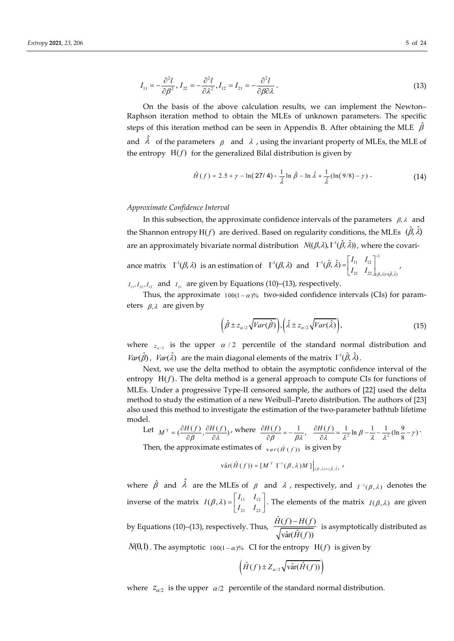$$
I_{11} = -\frac{\partial^2 l}{\partial \beta^2}, I_{22} = -\frac{\partial^2 l}{\partial \lambda^2}, I_{12} = I_{21} = -\frac{\partial^2 l}{\partial \beta \partial \lambda}.
$$
\n(13)

On the basis of the above calculation results, we can implement the Newton– Raphson iteration method to obtain the MLEs of unknown parameters. The specific steps of this iteration method can be seen in Appendix B. After obtaining the MLE  $\ \hat{\beta}$ and  $\hat{\lambda}$  of the parameters  $\beta$  and  $\lambda$ , using the invariant property of MLEs, the MLE of the entropy  $H(f)$  for the generalized Bilal distribution is given by

$$
\hat{H}(f) = 2.5 + \gamma - \ln(27/4) - \frac{1}{\hat{\lambda}} \ln \hat{\beta} - \ln \hat{\lambda} + \frac{1}{\hat{\lambda}} (\ln(9/8) - \gamma) \tag{14}
$$

## *Approximate Confidence Interval*

In this subsection, the approximate confidence intervals of the parameters  $\beta$ ,  $\lambda$  and the Shannon entropy  $H(f)$  are derived. Based on regularity conditions, the MLEs  $(\hat{\beta}, \hat{\lambda})$ are an approximately bivariate normal distribution  $N((\beta,\lambda),\Gamma^1(\hat{\beta},\hat{\lambda}))$ , where the covari-

ance matrix  $\Gamma^1(\beta, \lambda)$  is an estimation of  $\Gamma^1(\beta, \lambda)$  and 1  $11 \t 12$  $21 \t 22$ 1  $(\beta, \lambda) = (\hat{\beta}, \hat{\lambda})$  $\Gamma^1(\hat{\beta},\hat{\lambda}) = \begin{vmatrix} I_{11} & I_{12} \\ I_{11} & I_{12} \end{vmatrix}$  $\left[\beta,\lambda\right) = \begin{bmatrix} 1 & 1 \\ I_{21} & I_{22} \end{bmatrix}_{(\beta,\lambda)=(\hat{\beta},\hat{\lambda})}$  $-1\hat{a} \hat{a} - \left[ I_{11} \right] I_{12}$  $\mathcal{B}(\lambda) = \begin{bmatrix} 1 & 1 & 1 \\ I_{21} & I_{22} \end{bmatrix}_{(\beta,\lambda)=(\hat{\beta},\hat{\lambda})},$ 

 $I_{11}, I_{22}, I_{12}$  and  $I_{21}$  are given by Equations (10)–(13), respectively.

Thus, the approximate  $100(1 - \alpha)$ % two-sided confidence intervals (CIs) for parameters  $\beta$ ,  $\lambda$  are given by

$$
\left(\hat{\beta} \pm z_{\alpha/2} \sqrt{Var(\hat{\beta})}\right), \left(\hat{\lambda} \pm z_{\alpha/2} \sqrt{Var(\hat{\lambda})}\right),\tag{15}
$$

where  $z_{\alpha/2}$  is the upper  $\alpha/2$  percentile of the standard normal distribution and  $Var(\hat{\beta})$ ,  $Var(\hat{\lambda})$  are the main diagonal elements of the matrix  $\Gamma^1(\hat{\beta}, \hat{\lambda})$ .

Next, we use the delta method to obtain the asymptotic confidence interval of the entropy  $H(f)$ . The delta method is a general approach to compute CIs for functions of MLEs. Under a progressive Type-II censored sample, the authors of [22] used the delta method to study the estimation of a new Weibull–Pareto distribution. The authors of [23] also used this method to investigate the estimation of the two-parameter bathtub lifetime model.

Let 
$$
M^T = \left(\frac{\partial H(f)}{\partial \beta}, \frac{\partial H(f)}{\partial \lambda}\right)
$$
, where  $\frac{\partial H(f)}{\partial \beta} = -\frac{1}{\beta \lambda}, \frac{\partial H(f)}{\partial \lambda} = \frac{1}{\lambda^2} \ln \beta - \frac{1}{\lambda} - \frac{1}{\lambda^2} (\ln \frac{9}{8} - \gamma)$ .

Then, the approximate estimates of  $var(\hat{H}(f))$  is given by

$$
\widehat{\text{var}}(\hat{H}(f)) = [M^T \ \mathbf{I}^{-1}(\beta, \lambda) M] \Big|_{(\beta, \lambda) = (\hat{\beta}, \hat{\lambda})},
$$

where  $\hat{\beta}$  and  $\hat{\lambda}$  are the MLEs of  $\beta$  and  $\lambda$ , respectively, and  $I^{-1}(\beta, \lambda)$  denotes the inverse of the matrix  $I(\beta, \lambda) = \begin{vmatrix} 1 & 1 & 1 \\ 1 & 1 & 1 \end{vmatrix}$ 21 22  $I(\beta, \lambda) = \begin{bmatrix} I_{11} & I_{12} \\ I_{21} & I_{22} \end{bmatrix}$ . The elements of the matrix  $I(\beta, \lambda)$  are given

by Equations (10)–(13), respectively. Thus,  $\frac{\hat{H}(f) - H(f)}{\sqrt{1 - \hat{H}(f)}}$  $\hat{\text{var}}(\hat{H}(f))$ *H*(*f*) – *H*(*f H f*  $\frac{-H(f)}{2}$  is asymptotically distributed as

 $N(0,1)$ . The asymptotic 100(1- $\alpha$ )% CI for the entropy H(f) is given by

$$
\left(\hat{H}(f) \pm Z_{\alpha/2} \sqrt{\text{var}(\hat{H}(f))}\right)
$$

where  $z_{\alpha/2}$  is the upper  $\alpha/2$  percentile of the standard normal distribution.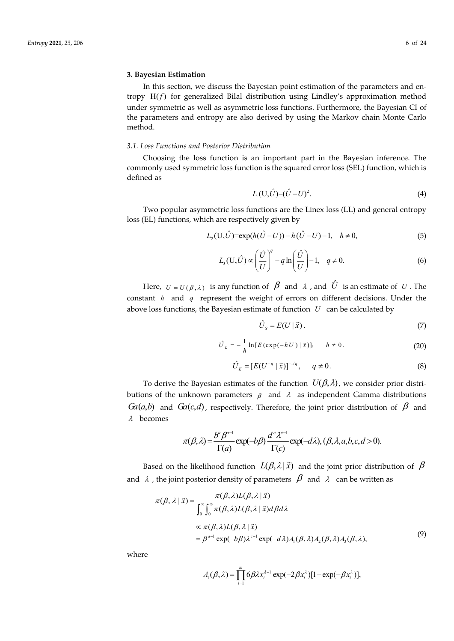# **3. Bayesian Estimation**

In this section, we discuss the Bayesian point estimation of the parameters and entropy  $H(f)$  for generalized Bilal distribution using Lindley's approximation method under symmetric as well as asymmetric loss functions. Furthermore, the Bayesian CI of the parameters and entropy are also derived by using the Markov chain Monte Carlo method.

# *3.1. Loss Functions and Posterior Distribution*

Choosing the loss function is an important part in the Bayesian inference. The commonly used symmetric loss function is the squared error loss (SEL) function, which is defined as

$$
L_1(U,\hat{U}) = (\hat{U} - U)^2.
$$
 (4)

Two popular asymmetric loss functions are the Linex loss (LL) and general entropy loss (EL) functions, which are respectively given by

$$
L_2(\mathbf{U}, \hat{U}) = \exp(h(\hat{U} - U)) - h(\hat{U} - U) - 1, \quad h \neq 0,
$$
\n(5)

$$
L_3(\mathbf{U},\hat{U}) \propto \left(\frac{\hat{U}}{U}\right)^q - q \ln\left(\frac{\hat{U}}{U}\right) - 1, \quad q \neq 0.
$$
 (6)

Here,  $U = U(\beta, \lambda)$  is any function of  $\beta$  and  $\lambda$ , and  $\hat{U}$  is an estimate of *U*. The constant *h* and *q* represent the weight of errors on different decisions. Under the above loss functions, the Bayesian estimate of function *U* can be calculated by

$$
\hat{U}_S = E(U | \vec{x}). \tag{7}
$$

$$
\hat{U}_L = -\frac{1}{h} \ln [E(\exp(-hU) | \vec{x})], \quad h \neq 0.
$$
 (20)

$$
\hat{U}_E = [E(U^{-q} | \vec{x})]^{-1/q}, \quad q \neq 0.
$$
\n(8)

To derive the Bayesian estimates of the function  $U(\beta, \lambda)$ , we consider prior distributions of the unknown parameters  $\beta$  and  $\lambda$  as independent Gamma distributions *Ga*(*a,b*) and *Ga*(*c,d*), respectively. Therefore, the joint prior distribution of  $\beta$  and  $\lambda$  becomes

$$
\pi(\beta,\lambda) = \frac{b^{\alpha}\beta^{\alpha-1}}{\Gamma(a)} \exp(-b\beta) \frac{d^c \lambda^{c-1}}{\Gamma(c)} \exp(-d\lambda), (\beta,\lambda,a,b,c,d>0).
$$

Based on the likelihood function  $L(\beta, \lambda | \vec{x})$  and the joint prior distribution of  $\beta$ and  $\lambda$ , the joint posterior density of parameters  $\beta$  and  $\lambda$  can be written as

$$
\pi(\beta, \lambda | \vec{x}) = \frac{\pi(\beta, \lambda)L(\beta, \lambda | \vec{x})}{\int_0^\infty \int_0^\infty \pi(\beta, \lambda)L(\beta, \lambda | \vec{x}) d\beta d\lambda}
$$
  
\n
$$
\propto \pi(\beta, \lambda)L(\beta, \lambda | \vec{x})
$$
  
\n
$$
= \beta^{a-1} \exp(-b\beta) \lambda^{c-1} \exp(-d\lambda) A_1(\beta, \lambda) A_2(\beta, \lambda) A_3(\beta, \lambda),
$$
\n(9)

where

$$
A_{i}(\beta,\lambda)=\prod_{i=1}^{m}6\beta\lambda x_{i}^{\lambda-1}\exp(-2\beta x_{i}^{\lambda})[1-\exp(-\beta x_{i}^{\lambda})],
$$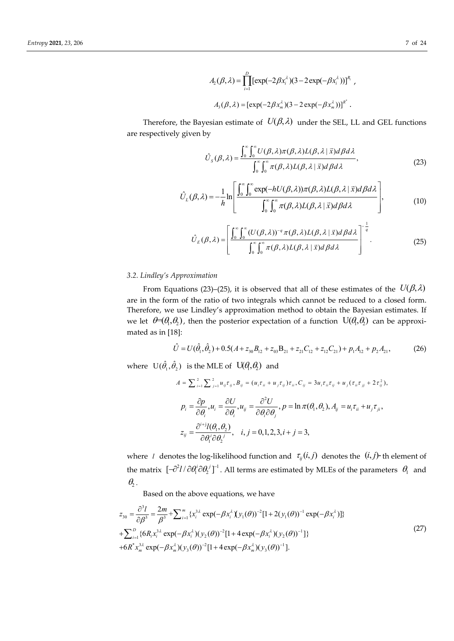$$
A_2(\beta, \lambda) = \prod_{i=1}^{D} [\exp(-2\beta x_i^{\lambda})(3 - 2\exp(-\beta x_i^{\lambda}))]^{R_i},
$$
  

$$
A_3(\beta, \lambda) = [\exp(-2\beta x_m^{\lambda})(3 - 2\exp(-\beta x_m^{\lambda}))]^{R^*}.
$$

Therefore, the Bayesian estimate of  $U(\beta, \lambda)$  under the SEL, LL and GEL functions are respectively given by

$$
\hat{U}_{S}(\beta,\lambda) = \frac{\int_{0}^{\infty} \int_{0}^{\infty} U(\beta,\lambda)\pi(\beta,\lambda)L(\beta,\lambda|\vec{x})d\beta d\lambda}{\int_{0}^{\infty} \int_{0}^{\infty}\pi(\beta,\lambda)L(\beta,\lambda|\vec{x})d\beta d\lambda},
$$
\n(23)

$$
\hat{U}_{L}(\beta,\lambda) = -\frac{1}{h} \ln \left[ \frac{\int_{0}^{\infty} \int_{0}^{\infty} \exp(-hU(\beta,\lambda))\pi(\beta,\lambda)L(\beta,\lambda | \vec{x})d\beta d\lambda}{\int_{0}^{\infty} \int_{0}^{\infty} \pi(\beta,\lambda)L(\beta,\lambda | \vec{x})d\beta d\lambda} \right],
$$
\n(10)

$$
\hat{U}_{E}(\beta,\lambda) = \left[ \frac{\int_0^\infty \int_0^\infty (U(\beta,\lambda))^{-q} \pi(\beta,\lambda) L(\beta,\lambda | \vec{x}) d\beta d\lambda}{\int_0^\infty \int_0^\infty \pi(\beta,\lambda) L(\beta,\lambda | \vec{x}) d\beta d\lambda} \right]^{-\frac{1}{q}}.
$$
\n(25)

# *3.2. Lindley's Approximation*

From Equations (23)–(25), it is observed that all of these estimates of the  $U(\beta, \lambda)$ are in the form of the ratio of two integrals which cannot be reduced to a closed form. Therefore, we use Lindley's approximation method to obtain the Bayesian estimates. If we let  $\theta = (\theta_1, \theta_2)$ , then the posterior expectation of a function  $U(\theta_1, \theta_2)$  can be approximated as in [18]:

$$
\hat{U} = U(\hat{\theta}_1, \hat{\theta}_2) + 0.5(A + z_{30}B_{12} + z_{03}B_{21} + z_{21}C_{12} + z_{12}C_{21}) + p_1A_{12} + p_2A_{21},
$$
\n(26)

where  $U(\hat{\theta}_1, \hat{\theta}_2)$  is the MLE of  $U(\theta_1, \theta_2)$  and

$$
A = \sum_{i=1}^{2} \sum_{j=1}^{2} u_{ij} \tau_{ij}, B_{ij} = (u_i \tau_{ii} + u_j \tau_{ij}) \tau_{ii}, C_{ij} = 3u_i \tau_{ii} \tau_{ij} + u_j (\tau_{ii} \tau_{jj} + 2\tau_{ij}^2),
$$
  
\n
$$
p_i = \frac{\partial p}{\partial \theta_i}, u_i = \frac{\partial U}{\partial \theta_i}, u_{ij} = \frac{\partial^2 U}{\partial \theta_i \partial \theta_j}, p = \ln \pi(\theta_1, \theta_2), A_{ij} = u_i \tau_{ii} + u_j \tau_{ji},
$$
  
\n
$$
z_{ij} = \frac{\partial^{i+1} l(\theta_1, \theta_2)}{\partial \theta_1^i \partial \theta_2^j}, \quad i, j = 0, 1, 2, 3, i + j = 3,
$$

where *l* denotes the log-likelihood function and  $\tau_{ii}(i, j)$  denotes the  $(i, j)$ -th element of the matrix  $[-\partial^2 l/\partial \theta_1^i \partial \theta_2^j]^{-1}$ . All terms are estimated by MLEs of the parameters  $\theta_1$  and  $\theta$ .

Based on the above equations, we have

$$
z_{30} = \frac{\partial^3 I}{\partial \beta^3} = \frac{2m}{\beta^3} + \sum_{i=1}^m \{x_i^{3\lambda} \exp(-\beta x_i^{\lambda})(y_1(\theta))^{-2} [1 + 2(y_1(\theta))^{-1} \exp(-\beta x_i^{\lambda})] \} + \sum_{i=1}^D \{6R_i x_i^{3\lambda} \exp(-\beta x_i^{\lambda})(y_2(\theta))^{-2} [1 + 4 \exp(-\beta x_i^{\lambda})(y_2(\theta))^{-1}] \} + 6R^* x_m^{3\lambda} \exp(-\beta x_m^{\lambda})(y_3(\theta))^{-2} [1 + 4 \exp(-\beta x_m^{\lambda})(y_3(\theta))^{-1}].
$$
\n(27)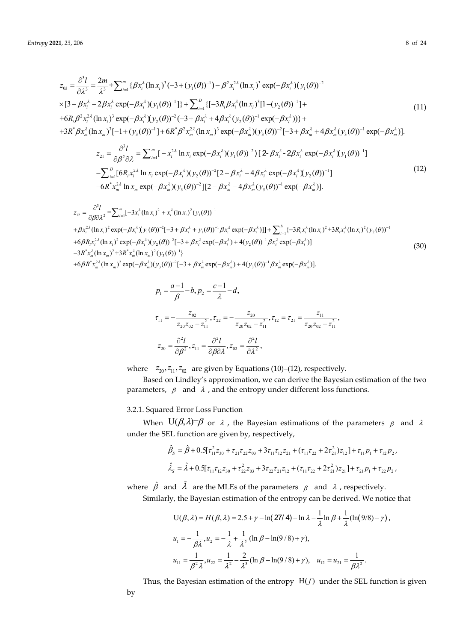$$
z_{03} = \frac{\partial^3 I}{\partial \lambda^3} = \frac{2m}{\lambda^3} + \sum_{i=1}^m \{ \beta x_i^{\lambda} (\ln x_i)^3 (-3 + (y_1(\theta))^{-1}) - \beta^2 x_i^{2\lambda} (\ln x_i)^3 \exp(-\beta x_i^{\lambda}) (y_1(\theta))^{-2} \}
$$
  
\n
$$
\times [3 - \beta x_i^{\lambda} - 2\beta x_i^{\lambda} \exp(-\beta x_i^{\lambda}) (y_1(\theta))^{-1}] \} + \sum_{i=1}^D \{ [-3R_i \beta x_i^{\lambda} (\ln x_i)^3 [1 - (y_2(\theta))^{-1}] +
$$
  
\n
$$
+6R_i \beta^2 x_i^{2\lambda} (\ln x_i)^3 \exp(-\beta x_i^{\lambda}) (y_2(\theta))^{-2} (-3 + \beta x_i^{\lambda} + 4\beta x_i^{\lambda} (y_2(\theta))^{-1} \exp(-\beta x_i^{\lambda})) \} +
$$
  
\n
$$
+3R^* \beta x_m^{\lambda} (\ln x_m)^3 [-1 + (y_3(\theta))^{-1}] + 6R^* \beta^2 x_m^{2\lambda} (\ln x_m)^3 \exp(-\beta x_m^{\lambda}) (y_3(\theta))^{-2} [-3 + \beta x_m^{\lambda} + 4\beta x_m^{\lambda} (y_3(\theta))^{-1} \exp(-\beta x_m^{\lambda})].
$$
  
\n(11)

$$
z_{21} = \frac{\partial^3 l}{\partial \beta^2 \partial \lambda} = \sum_{i=1}^m \left[ -x_i^{2\lambda} \ln x_i \exp(-\beta x_i^{\lambda})(y_1(\theta))^{-2} \right] \left[ 2 - \beta x_i^{\lambda} - 2\beta x_i^{\lambda} \exp(-\beta x_i^{\lambda})(y_1(\theta))^{-1} \right]
$$
  
-
$$
\sum_{i=1}^D \left[ 6R_i x_i^{2\lambda} \ln x_i \exp(-\beta x_i^{\lambda})(y_2(\theta))^{-2} \left[ 2 - \beta x_i^{\lambda} - 4\beta x_i^{\lambda} \exp(-\beta x_i^{\lambda})(y_2(\theta))^{-1} \right] - 6R^* x_m^{2\lambda} \ln x_m \exp(-\beta x_m^{\lambda})(y_3(\theta))^{-2} \left[ 2 - \beta x_m^{\lambda} - 4\beta x_m^{\lambda}(y_3(\theta))^{-1} \exp(-\beta x_m^{\lambda}) \right].
$$
 (12)

$$
z_{12} = \frac{\partial^3 l}{\partial \beta \partial \lambda^2} = \sum_{i=1}^m [-3x_i^{\lambda} (\ln x_i)^2 + x_i^{\lambda} (\ln x_i)^2 (y_1(\theta))^{-1} + \beta x_i^{2\lambda} (\ln x_i)^2 \exp(-\beta x_i^{\lambda} \{y_1(\theta))^{-2} [-3 + \beta x_i^{\lambda} + y_1(\theta)]^{-1} \beta x_i^{\lambda} \exp(-\beta x_i^{\lambda})] ] + \sum_{i=1}^D \{-3R_i x_i^{\lambda} (\ln x_i)^2 + 3R_i x_i^{\lambda} (\ln x_i)^2 (y_2(\theta))^{-1} + 6\beta R_i x_i^{2\lambda} (\ln x_i)^2 \exp(-\beta x_i^{\lambda}) (y_2(\theta))^{-2} [-3 + \beta x_i^{\lambda} \exp(-\beta x_i^{\lambda}) + 4(y_2(\theta))^{-1} \beta x_i^{\lambda} \exp(-\beta x_i^{\lambda})] - 3R^* x_m^{\lambda} (\ln x_m)^2 + 3R^* x_m^{\lambda} (\ln x_m)^2 (y_3(\theta))^{-1} \} + 6\beta R^* x_m^{2\lambda} (\ln x_m)^2 \exp(-\beta x_m^{\lambda}) (y_3(\theta))^{-2} [-3 + \beta x_m^{\lambda} \exp(-\beta x_m^{\lambda}) + 4(y_3(\theta))^{-1} \beta x_m^{\lambda} \exp(-\beta x_m^{\lambda})].
$$
\n(30)

$$
p_1 = \frac{a-1}{\beta} - b, p_2 = \frac{c-1}{\lambda} - d,
$$
  
\n
$$
\tau_{11} = -\frac{z_{02}}{z_{20}z_{02} - z_{11}^2}, \tau_{22} = -\frac{z_{20}}{z_{20}z_{02} - z_{11}^2}, \tau_{12} = \tau_{21} = \frac{z_{11}}{z_{20}z_{02} - z_{11}^2},
$$
  
\n
$$
z_{20} = \frac{\partial^2 l}{\partial \beta^2}, z_{11} = \frac{\partial^2 l}{\partial \beta \partial \lambda}, z_{02} = \frac{\partial^2 l}{\partial \lambda^2},
$$

where  $z_{20}, z_{11}, z_{02}$  are given by Equations (10)–(12), respectively.

Based on Lindley's approximation, we can derive the Bayesian estimation of the two parameters,  $\beta$  and  $\lambda$ , and the entropy under different loss functions.

3.2.1. Squared Error Loss Function

When  $U(\beta, \lambda) = \beta$  or  $\lambda$ , the Bayesian estimations of the parameters  $\beta$  and  $\lambda$ under the SEL function are given by, respectively,

$$
\hat{\beta}_s = \hat{\beta} + 0.5[\tau_{11}^2 \tau_{30} + \tau_{21} \tau_{22} \tau_{03} + 3 \tau_{11} \tau_{12} \tau_{21} + (\tau_{11} \tau_{22} + 2 \tau_{21}^2) \tau_{12}] + \tau_{11} p_1 + \tau_{12} p_2,
$$
\n
$$
\hat{\lambda}_s = \hat{\lambda} + 0.5[\tau_{11} \tau_{12} \tau_{30} + \tau_{22}^2 \tau_{03} + 3 \tau_{22} \tau_{21} \tau_{12} + (\tau_{11} \tau_{22} + 2 \tau_{21}^2) \tau_{21}] + \tau_{21} p_1 + \tau_{22} p_2,
$$

where  $\hat{\beta}$  and  $\hat{\lambda}$  are the MLEs of the parameters  $\beta$  and  $\lambda$ , respectively.

Similarly, the Bayesian estimation of the entropy can be derived. We notice that

$$
U(\beta, \lambda) = H(\beta, \lambda) = 2.5 + \gamma - \ln(27/4) - \ln \lambda - \frac{1}{\lambda} \ln \beta + \frac{1}{\lambda} (\ln(9/8) - \gamma),
$$
  
\n
$$
u_1 = -\frac{1}{\beta \lambda}, u_2 = -\frac{1}{\lambda} + \frac{1}{\lambda^2} (\ln \beta - \ln(9/8) + \gamma),
$$
  
\n
$$
u_{11} = \frac{1}{\beta^2 \lambda}, u_{22} = \frac{1}{\lambda^2} - \frac{2}{\lambda^3} (\ln \beta - \ln(9/8) + \gamma), \quad u_{12} = u_{21} = \frac{1}{\beta \lambda^2}.
$$

Thus, the Bayesian estimation of the entropy  $H(f)$  under the SEL function is given by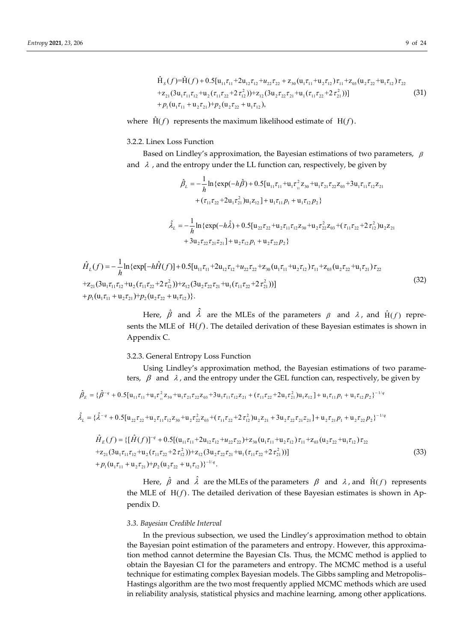$$
\hat{H}_s(f) = \hat{H}(f) + 0.5[u_{11}\tau_{11} + 2u_{12}\tau_{12} + u_{22}\tau_{22} + z_{30}(u_1\tau_{11} + u_2\tau_{12})\tau_{11} + z_{03}(u_2\tau_{22} + u_1\tau_{12})\tau_{22} \n+ z_{21}(3u_1\tau_{11}\tau_{12} + u_2(\tau_{11}\tau_{22} + 2\tau_{12}^2)) + z_{12}(3u_2\tau_{22}\tau_{21} + u_1(\tau_{11}\tau_{22} + 2\tau_{21}^2))]
$$
\n
$$
+ p_1(u_1\tau_{11} + u_2\tau_{21}) + p_2(u_2\tau_{22} + u_1\tau_{12}),
$$
\n(31)

where  $\hat{H}(f)$  represents the maximum likelihood estimate of  $H(f)$ .

# 3.2.2. Linex Loss Function

Based on Lindley's approximation, the Bayesian estimations of two parameters,  $\beta$ and  $\lambda$ , and the entropy under the LL function can, respectively, be given by

$$
\hat{\beta}_L = -\frac{1}{h} \ln \{ \exp(-h\hat{\beta}) + 0.5[u_{11}\tau_{11} + u_{1}\tau_{11}^2 z_{30} + u_{1}\tau_{21}\tau_{22} z_{03} + 3u_{1}\tau_{11}\tau_{12} z_{21} \n+ (\tau_{11}\tau_{22} + 2u_{1}\tau_{21}^2)u_{1}z_{12}] + u_{1}\tau_{11}p_{1} + u_{1}\tau_{12}p_{2} \}
$$
\n
$$
\hat{\lambda}_L = -\frac{1}{h} \ln \{ \exp(-h\hat{\lambda}) + 0.5[u_{22}\tau_{22} + u_{2}\tau_{11}\tau_{12}z_{30} + u_{2}\tau_{22}^2 z_{03} + (\tau_{11}\tau_{22} + 2\tau_{12}^2)u_{2}z_{21} \n+ 3u_{2}\tau_{22}\tau_{21}z_{21}] + u_{2}\tau_{12}p_{1} + u_{2}\tau_{22}p_{2} \}
$$

$$
\hat{H}_{L}(f) = -\frac{1}{h} \ln \{ \exp[-h\hat{H}(f)] + 0.5[u_{11}\tau_{11} + 2u_{12}\tau_{12} + u_{22}\tau_{22} + z_{30}(u_{1}\tau_{11} + u_{2}\tau_{12})\tau_{11} + z_{03}(u_{2}\tau_{22} + u_{1}\tau_{21})\tau_{22}\n+ z_{21}(3u_{1}\tau_{11}\tau_{12} + u_{2}(\tau_{11}\tau_{22} + 2\tau_{12}^{2})) + z_{12}(3u_{2}\tau_{22}\tau_{21} + u_{1}(\tau_{11}\tau_{22} + 2\tau_{21}^{2}))\n+ p_{1}(u_{1}\tau_{11} + u_{2}\tau_{21}) + p_{2}(u_{2}\tau_{22} + u_{1}\tau_{12})\}.
$$
\n(32)

Here,  $\hat{\beta}$  and  $\hat{\lambda}$  are the MLEs of the parameters  $\beta$  and  $\lambda$ , and  $\hat{H}(f)$  represents the MLE of  $H(f)$ . The detailed derivation of these Bayesian estimates is shown in Appendix C.

### 3.2.3. General Entropy Loss Function

Using Lindley's approximation method, the Bayesian estimations of two parameters,  $\beta$  and  $\lambda$ , and the entropy under the GEL function can, respectively, be given by

$$
\hat{\beta}_E = \{\hat{\beta}^{-q} + 0.5[u_{11}\tau_{11} + u_1\tau_{11}^2 z_{30} + u_1\tau_{21}\tau_{22}z_{03} + 3u_1\tau_{11}\tau_{12}z_{21} + (\tau_{11}\tau_{22} + 2u_1\tau_{21}^2)u_1z_{12}\} + u_1\tau_{11}p_1 + u_1\tau_{12}p_2\}^{-1/q}
$$

$$
\hat{\lambda}_{L} = \{\hat{\lambda}^{-q} + 0.5[u_{22}\tau_{22} + u_{2}\tau_{11}\tau_{12}z_{30} + u_{2}\tau_{22}^{2}z_{03} + (\tau_{11}\tau_{22} + 2\tau_{12}^{2})u_{2}z_{21} + 3u_{2}\tau_{22}\tau_{21}z_{21} + u_{2}\tau_{21}p_{1} + u_{2}\tau_{22}p_{2}\}^{-1/q}
$$

$$
\hat{H}_{E}(f) = \{ [\hat{H}(f)]^{-q} + 0.5[(\mathbf{u}_{11}\tau_{11} + 2\mathbf{u}_{12}\tau_{12} + u_{22}\tau_{22}) + \mathbf{z}_{30}(\mathbf{u}_{1}\tau_{11} + \mathbf{u}_{2}\tau_{12})\tau_{11} + \mathbf{z}_{03}(\mathbf{u}_{2}\tau_{22} + \mathbf{u}_{1}\tau_{12})\tau_{22} \n+ \mathbf{z}_{21}(3\mathbf{u}_{1}\tau_{11}\tau_{12} + \mathbf{u}_{2}(\tau_{11}\tau_{22} + 2\tau_{12}^{2})) + \mathbf{z}_{12}(3\mathbf{u}_{2}\tau_{22}\tau_{21} + \mathbf{u}_{1}(\tau_{11}\tau_{22} + 2\tau_{21}^{2})) ] \n+ p_{1}(\mathbf{u}_{1}\tau_{11} + \mathbf{u}_{2}\tau_{21}) + p_{2}(\mathbf{u}_{2}\tau_{22} + \mathbf{u}_{1}\tau_{12})\}^{-1/q}.
$$
\n(33)

Here,  $\hat{\beta}$  and  $\hat{\lambda}$  are the MLEs of the parameters  $\beta$  and  $\lambda$ , and  $\hat{H}(f)$  represents the MLE of  $H(f)$ . The detailed derivation of these Bayesian estimates is shown in Appendix D.

# *3.3. Bayesian Credible Interval*

In the previous subsection, we used the Lindley's approximation method to obtain the Bayesian point estimation of the parameters and entropy. However, this approximation method cannot determine the Bayesian CIs. Thus, the MCMC method is applied to obtain the Bayesian CI for the parameters and entropy. The MCMC method is a useful technique for estimating complex Bayesian models. The Gibbs sampling and Metropolis– Hastings algorithm are the two most frequently applied MCMC methods which are used in reliability analysis, statistical physics and machine learning, among other applications.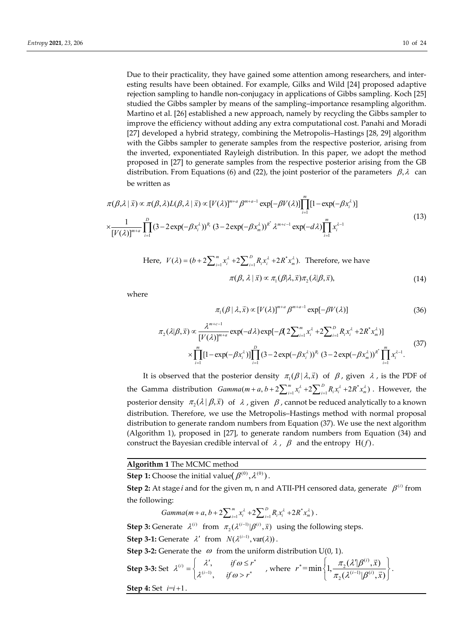Due to their practicality, they have gained some attention among researchers, and interesting results have been obtained. For example, Gilks and Wild [24] proposed adaptive rejection sampling to handle non-conjugacy in applications of Gibbs sampling. Koch [25] studied the Gibbs sampler by means of the sampling–importance resampling algorithm. Martino et al. [26] established a new approach, namely by recycling the Gibbs sampler to improve the efficiency without adding any extra computational cost. Panahi and Moradi [27] developed a hybrid strategy, combining the Metropolis–Hastings [28, 29] algorithm with the Gibbs sampler to generate samples from the respective posterior, arising from the inverted, exponentiated Rayleigh distribution. In this paper, we adopt the method proposed in [27] to generate samples from the respective posterior arising from the GB distribution. From Equations (6) and (22), the joint posterior of the parameters  $\beta$ ,  $\lambda$  can be written as

$$
\pi(\beta,\lambda \mid \vec{x}) \propto \pi(\beta,\lambda)L(\beta,\lambda \mid \vec{x}) \propto [V(\lambda)]^{m+a} \beta^{m+a-1} \exp[-\beta V(\lambda)] \prod_{i=1}^{m} [1 - \exp(-\beta x_i^{\lambda})]
$$
  

$$
\times \frac{1}{[V(\lambda)]^{m+a}} \prod_{i=1}^{D} (3 - 2\exp(-\beta x_i^{\lambda}))^{\beta_i} (3 - 2\exp(-\beta x_m^{\lambda}))^{\beta^*} \lambda^{m+c-1} \exp(-d\lambda) \prod_{i=1}^{m} x_i^{\lambda-1}
$$
(13)

Here, 
$$
V(\lambda) = (b + 2 \sum_{i=1}^{m} x_i^{\lambda} + 2 \sum_{i=1}^{D} R_i x_i^{\lambda} + 2R^* x_m^{\lambda})
$$
. Therefore, we have  

$$
\pi(\beta, \lambda | \vec{x}) \propto \pi_1(\beta | \lambda, \vec{x}) \pi_2(\lambda | \beta, \vec{x}),
$$
(14)

where

$$
\pi_1(\beta \mid \lambda, \vec{x}) \propto [V(\lambda)]^{m+a} \beta^{m+a-1} \exp[-\beta V(\lambda)] \tag{36}
$$

$$
\pi_2(\lambda|\beta,\vec{x}) \propto \frac{\lambda^{m+c-1}}{[V(\lambda)]^{m+a}} \exp(-d\lambda) \exp[-\beta(2\sum_{i=1}^m x_i^{\lambda} + 2\sum_{i=1}^D R_i x_i^{\lambda} + 2R^* x_m^{\lambda})] \times \prod_{i=1}^m [1 - \exp(-\beta x_i^{\lambda})] \prod_{i=1}^D (3 - 2\exp(-\beta x_i^{\lambda}))^{R_i} (3 - 2\exp(-\beta x_m^{\lambda}))^{R_i} \prod_{i=1}^m x_i^{\lambda-1}.
$$
\n(37)

It is observed that the posterior density  $\pi_1(\beta | \lambda, \vec{x})$  of  $\beta$ , given  $\lambda$ , is the PDF of the Gamma distribution  $Gamma(m + a, b + 2\sum_{i=1}^{m} x_i^{\lambda} + 2\sum_{i=1}^{D} R_i x_i^{\lambda} + 2R^* x_m^{\lambda})$ . However, the posterior density  $\pi_2(\lambda | \beta, \vec{x})$  of  $\lambda$ , given  $\beta$ , cannot be reduced analytically to a known distribution. Therefore, we use the Metropolis–Hastings method with normal proposal distribution to generate random numbers from Equation (37). We use the next algorithm (Algorithm 1), proposed in [27], to generate random numbers from Equation (34) and construct the Bayesian credible interval of  $\lambda$ ,  $\beta$  and the entropy H(f).

**Algorithm 1** The MCMC method

**Step 1:** Choose the initial value( $\beta^{(0)}$ ,  $\lambda^{(0)}$ ).

**Step 2:** At stage *i* and for the given m, n and ATII-PH censored data, generate  $\beta^{(i)}$  from the following:

 $Gamma(m + a, b + 2\sum_{i=1}^{m} x_i^{\lambda} + 2\sum_{i=1}^{D} R_i x_i^{\lambda} + 2R^* x_m^{\lambda})$ .

**Step 3:** Generate  $\lambda^{(i)}$  from  $\pi_2(\lambda^{(i-1)} | \beta^{(i)}, \vec{x})$  using the following steps. **Step 3-1:** Generate  $\lambda'$  from  $N(\lambda^{(i-1)}, \text{var}(\lambda))$ .

**Step 3-2:** Generate the  $\omega$  from the uniform distribution U(0, 1).

**Step 3-3:** Set  $\lambda^{(i)} = \begin{cases} \lambda^{(i)} & \lambda^{(i)} \\ \lambda^{(i-1)} & \lambda^{(i)} \end{cases}$ , , *i i if*  $\omega \leq r$ *if*  $\omega$  > *r*  $\lambda^{(i)} = \begin{cases} \lambda', & \text{if } \omega \end{cases}$  $\lambda^{(i-1)}$ , if  $\omega$ ł  $=\begin{cases} \lambda', & \text{if } \omega \leq t \\ \lambda^{(i-1)} & \text{if } \omega > t^* \end{cases}$  $\begin{cases} \lambda^{(i-1)}, & \text{if } \omega > r^* \end{cases}$ , where  $\mathcal{L}_2(\mathcal{X}|\pmb{\beta}^{(i)})$  $=\min\left\{1,\frac{\pi_2(\lambda'|\beta^{(i)},\vec{x})}{\pi_2(\lambda^{(i-1)}|\beta^{(i)},\vec{x})}\right\}$  $(i-1)$ <sub>1</sub> $Q(i)$  $r^*$ =min  $\left\{1, \frac{\pi_2(\lambda'|\beta^{(i)}, \vec{x})}{\left(\lambda^{(i-1)}\right) \left(\beta^{(i)}\right)}\right\}$ *x*  $\pi_2(\lambda'\vert\beta)$  $\pi_2(\lambda^{(i-1)}|\beta)$ × Ξ  $\left\{1,\frac{\pi_2(\lambda'\vert \beta^{(i)},\vec{x})}{\pi_2(\lambda^{(i-1)}\vert \beta^{(i)},\vec{x})}\right\}$  $\left\lfloor\frac{1}{2}\right\rfloor$ .

**Step 4:** Set  $i=i+1$ .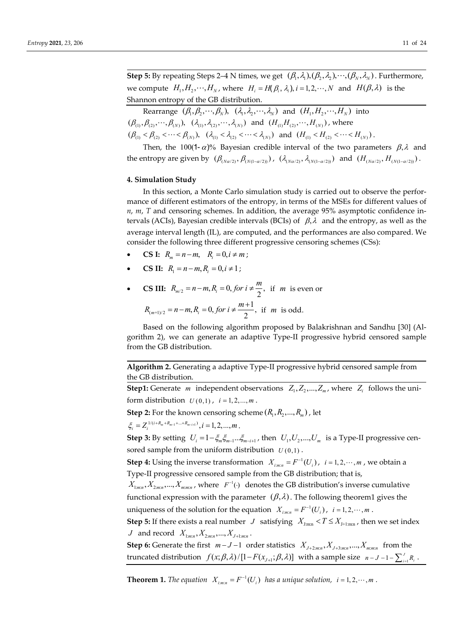**Step 5:** By repeating Steps 2–4 N times, we get  $(\beta_1, \lambda_1), (\beta_2, \lambda_2), \cdots, (\beta_N, \lambda_N)$ . Furthermore, we compute  $H_1, H_2, \dots, H_N$ , where  $H_i = H(\beta_i, \lambda_i), i = 1, 2, \dots, N$  and  $H(\beta, \lambda)$  is the Shannon entropy of the GB distribution.

Rearrange  $(\beta_1, \beta_2, \cdots, \beta_N)$ ,  $(\lambda_1, \lambda_2, \cdots, \lambda_N)$  and  $(H_1, H_2, \cdots, H_N)$  into  $(\beta_{(1)}, \beta_{(2)}, \cdots, \beta_{(N)}), \ (\lambda_{(1)}, \lambda_{(2)}, \cdots, \lambda_{(N)})$  and  $(H_{(1)}H_{(2)}, \cdots, H_{(N)})$ , where  $(\beta_{(1)} < \beta_{(2)} < \cdots < \beta_{(N)}), \ (\lambda_{(1)} < \lambda_{(2)} < \cdots < \lambda_{(N)}) \text{ and } (H_{(1)} < H_{(2)} < \cdots < H_{(N)}).$ 

Then, the 100(1- $\alpha$ )% Bayesian credible interval of the two parameters  $\beta$ ,  $\lambda$  and the entropy are given by  $(\beta_{(Na/2)}, \beta_{(N(1-\alpha/2))})$ ,  $(\lambda_{(Na/2)}, \lambda_{(N(1-\alpha/2))})$  and  $(H_{(Na/2)}, H_{(N(1-\alpha/2))})$ .

# **4. Simulation Study**

In this section, a Monte Carlo simulation study is carried out to observe the performance of different estimators of the entropy, in terms of the MSEs for different values of *n*, *m*, *T* and censoring schemes. In addition, the average 95% asymptotic confidence intervals (ACIs), Bayesian credible intervals (BCIs) of  $\beta$ ,  $\lambda$  and the entropy, as well as the average interval length (IL), are computed, and the performances are also compared. We consider the following three different progressive censoring schemes (CSs):

- **CS I:**  $R_m = n m$ ,  $R_i = 0, i \neq m$ ;
- **CS II:**  $R_i = n m, R_i = 0, i \neq 1;$
- **CS III:**  $R_{m/2} = n m, R_i = 0, for i \neq \frac{m}{2}$ , if *m* is even or

$$
R_{(m+1)/2} = n-m, R_i = 0, \text{ for } i \neq \frac{m+1}{2}, \text{ if } m \text{ is odd.}
$$

Based on the following algorithm proposed by Balakrishnan and Sandhu [30] (Algorithm 2), we can generate an adaptive Type-II progressive hybrid censored sample from the GB distribution.

**Algorithm 2.** Generating a adaptive Type-II progressive hybrid censored sample from the GB distribution.

**Step1:** Generate *m* independent observations  $Z_1, Z_2, ..., Z_m$ , where  $Z_i$  follows the uniform distribution  $U(0,1)$ ,  $i = 1, 2, ..., m$ .

**Step 2:** For the known censoring scheme  $(R_1, R_2, ..., R_m)$ , let

 $\zeta_i = Z_i^{1/(i+R_m+R_{m-1}+\ldots+R_{m-i+1})}, i = 1, 2, \ldots, m$ .

**Step 3:** By setting  $U_i = 1 - \xi_m \xi_{m-i} \xi_{m-i+1}$ , then  $U_1, U_2, ..., U_m$  is a Type-II progressive censored sample from the uniform distribution  $U(0,1)$ .

**Step 4:** Using the inverse transformation  $X_{i:m:n} = F^{-1}(U_i)$ ,  $i = 1, 2, \dots, m$ , we obtain a Type-II progressive censored sample from the GB distribution; that is,

 $X_{1:m:n}, X_{2:m:n},..., X_{m:m:n}$ , where  $F^{-1}(\cdot)$  denotes the GB distribution's inverse cumulative functional expression with the parameter  $(\beta, \lambda)$ . The following theorem1 gives the uniqueness of the solution for the equation  $X_{i:m:n} = F^{-1}(U_i)$ ,  $i = 1, 2, \dots, m$ .

**Step 5:** If there exists a real number *J* satisfying  $X_{1:m}$ ,  $T \leq X_{1+1:m}$ , then we set index *J* and record  $X_{1:m:n}, X_{2:m:n}, ..., X_{J+1:m:n}$ .

**Step 6:** Generate the first  $m-J-1$  order statistics  $X_{J+2,m,n}, X_{J+3,m,n}, \ldots, X_{m,m,n}$  from the truncated distribution  $f(x; \beta, \lambda) / [1 - F(x_{J+1}; \beta, \lambda)]$  with a sample size  $n - J - 1 - \sum_{i=1}^{J} R_i$ .

**Theorem 1.** The equation  $X_{i:m:n} = F^{-1}(U_i)$  has a unique solution,  $i = 1, 2, \dots, m$ .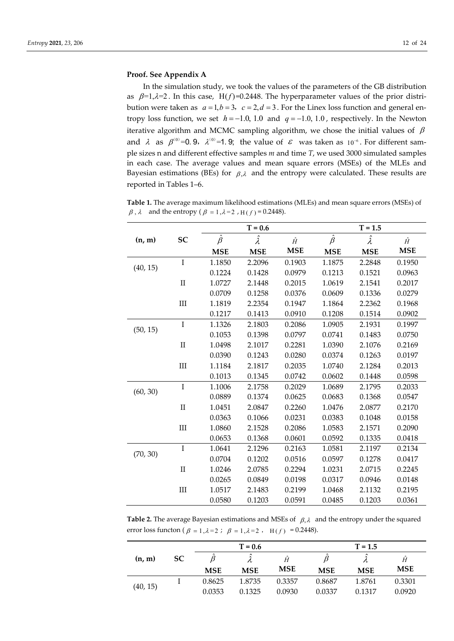## **Proof. See Appendix A**

In the simulation study, we took the values of the parameters of the GB distribution as  $\beta=1,\lambda=2$ . In this case, H(f)=0.2448. The hyperparameter values of the prior distribution were taken as  $a = 1, b = 3, c = 2, d = 3$ . For the Linex loss function and general entropy loss function, we set  $h = -1.0, 1.0$  and  $q = -1.0, 1.0$ , respectively. In the Newton iterative algorithm and MCMC sampling algorithm, we chose the initial values of  $\beta$ and  $\lambda$  as  $\beta^{(0)}=0.9$ ,  $\lambda^{(0)}=1.9$ ; the value of  $\varepsilon$  was taken as 10<sup>-6</sup>. For different sample sizes n and different effective samples *m* and time *T*, we used 3000 simulated samples in each case. The average values and mean square errors (MSEs) of the MLEs and Bayesian estimations (BEs) for  $\beta$ , and the entropy were calculated. These results are reported in Tables 1–6.

**Table 1.** The average maximum likelihood estimations (MLEs) and mean square errors (MSEs) of  $\beta$ ,  $\lambda$  and the entropy ( $\beta = 1, \lambda = 2$ ,  $H(f) = 0.2448$ ).

|          |           |               | $T = 0.6$       |            |               | $T = 1.5$       |            |
|----------|-----------|---------------|-----------------|------------|---------------|-----------------|------------|
| (n, m)   | SC        | $\hat{\beta}$ | $\hat{\lambda}$ | $\hat{H}$  | $\hat{\beta}$ | $\hat{\lambda}$ | $\hat{H}$  |
|          |           | <b>MSE</b>    | <b>MSE</b>      | <b>MSE</b> | <b>MSE</b>    | <b>MSE</b>      | <b>MSE</b> |
|          | $\rm I$   | 1.1850        | 2.2096          | 0.1903     | 1.1875        | 2.2848          | 0.1950     |
| (40, 15) |           | 0.1224        | 0.1428          | 0.0979     | 0.1213        | 0.1521          | 0.0963     |
|          | $\rm II$  | 1.0727        | 2.1448          | 0.2015     | 1.0619        | 2.1541          | 0.2017     |
|          |           | 0.0709        | 0.1258          | 0.0376     | 0.0609        | 0.1336          | 0.0279     |
|          | $\rm III$ | 1.1819        | 2.2354          | 0.1947     | 1.1864        | 2.2362          | 0.1968     |
|          |           | 0.1217        | 0.1413          | 0.0910     | 0.1208        | 0.1514          | 0.0902     |
|          | $\rm I$   | 1.1326        | 2.1803          | 0.2086     | 1.0905        | 2.1931          | 0.1997     |
| (50, 15) |           | 0.1053        | 0.1398          | 0.0797     | 0.0741        | 0.1483          | 0.0750     |
|          | $\rm II$  | 1.0498        | 2.1017          | 0.2281     | 1.0390        | 2.1076          | 0.2169     |
|          |           | 0.0390        | 0.1243          | 0.0280     | 0.0374        | 0.1263          | 0.0197     |
|          | $\rm III$ | 1.1184        | 2.1817          | 0.2035     | 1.0740        | 2.1284          | 0.2013     |
|          |           | 0.1013        | 0.1345          | 0.0742     | 0.0602        | 0.1448          | 0.0598     |
| (60, 30) | $\bf I$   | 1.1006        | 2.1758          | 0.2029     | 1.0689        | 2.1795          | 0.2033     |
|          |           | 0.0889        | 0.1374          | 0.0625     | 0.0683        | 0.1368          | 0.0547     |
|          | $\rm II$  | 1.0451        | 2.0847          | 0.2260     | 1.0476        | 2.0877          | 0.2170     |
|          |           | 0.0363        | 0.1066          | 0.0231     | 0.0383        | 0.1048          | 0.0158     |
|          | III       | 1.0860        | 2.1528          | 0.2086     | 1.0583        | 2.1571          | 0.2090     |
|          |           | 0.0653        | 0.1368          | 0.0601     | 0.0592        | 0.1335          | 0.0418     |
|          | $\rm I$   | 1.0641        | 2.1296          | 0.2163     | 1.0581        | 2.1197          | 0.2134     |
| (70, 30) |           | 0.0704        | 0.1202          | 0.0516     | 0.0597        | 0.1278          | 0.0417     |
|          | $\rm II$  | 1.0246        | 2.0785          | 0.2294     | 1.0231        | 2.0715          | 0.2245     |
|          |           | 0.0265        | 0.0849          | 0.0198     | 0.0317        | 0.0946          | 0.0148     |
|          | $\rm III$ | 1.0517        | 2.1483          | 0.2199     | 1.0468        | 2.1132          | 0.2195     |
|          |           | 0.0580        | 0.1203          | 0.0591     | 0.0485        | 0.1203          | 0.0361     |

**Table 2.** The average Bayesian estimations and MSEs of  $\beta$ , and the entropy under the squared error loss functon ( $\beta = 1, \lambda = 2$ ;  $\beta = 1, \lambda = 2$ ,  $H(f) = 0.2448$ ).

|          |     |            | $T = 0.6$  |            |            | $T = 1.5$  |            |
|----------|-----|------------|------------|------------|------------|------------|------------|
| (n, m)   | SC. |            | <i>,</i>   | Ĥ          |            | Λ          | Ĥ          |
|          |     | <b>MSE</b> | <b>MSE</b> | <b>MSE</b> | <b>MSE</b> | <b>MSE</b> | <b>MSE</b> |
|          |     | 0.8625     | 1.8735     | 0.3357     | 0.8687     | 1.8761     | 0.3301     |
| (40, 15) |     | 0.0353     | 0.1325     | 0.0930     | 0.0337     | 0.1317     | 0.0920     |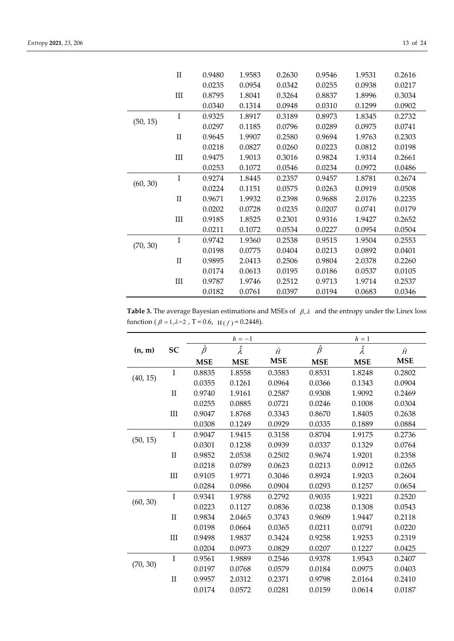|          | $\mathbf{H}$ | 0.9480 | 1.9583 | 0.2630 | 0.9546 | 1.9531 | 0.2616 |
|----------|--------------|--------|--------|--------|--------|--------|--------|
|          |              | 0.0235 | 0.0954 | 0.0342 | 0.0255 | 0.0938 | 0.0217 |
|          | $\rm III$    | 0.8795 | 1.8041 | 0.3264 | 0.8837 | 1.8996 | 0.3034 |
|          |              | 0.0340 | 0.1314 | 0.0948 | 0.0310 | 0.1299 | 0.0902 |
|          | I            | 0.9325 | 1.8917 | 0.3189 | 0.8973 | 1.8345 | 0.2732 |
| (50, 15) |              | 0.0297 | 0.1185 | 0.0796 | 0.0289 | 0.0975 | 0.0741 |
|          | $\mathbf{H}$ | 0.9645 | 1.9907 | 0.2580 | 0.9694 | 1.9763 | 0.2303 |
|          |              | 0.0218 | 0.0827 | 0.0260 | 0.0223 | 0.0812 | 0.0198 |
|          | III          | 0.9475 | 1.9013 | 0.3016 | 0.9824 | 1.9314 | 0.2661 |
|          |              | 0.0253 | 0.1072 | 0.0546 | 0.0234 | 0.0972 | 0.0486 |
|          | I            | 0.9274 | 1.8445 | 0.2357 | 0.9457 | 1.8781 | 0.2674 |
| (60, 30) |              | 0.0224 | 0.1151 | 0.0575 | 0.0263 | 0.0919 | 0.0508 |
|          | $\mathbf{I}$ | 0.9671 | 1.9932 | 0.2398 | 0.9688 | 2.0176 | 0.2235 |
|          |              | 0.0202 | 0.0728 | 0.0235 | 0.0207 | 0.0741 | 0.0179 |
|          | $\rm III$    | 0.9185 | 1.8525 | 0.2301 | 0.9316 | 1.9427 | 0.2652 |
|          |              | 0.0211 | 0.1072 | 0.0534 | 0.0227 | 0.0954 | 0.0504 |
|          | I            | 0.9742 | 1.9360 | 0.2538 | 0.9515 | 1.9504 | 0.2553 |
| (70, 30) |              | 0.0198 | 0.0775 | 0.0404 | 0.0213 | 0.0892 | 0.0401 |
|          | $\mathbf{H}$ | 0.9895 | 2.0413 | 0.2506 | 0.9804 | 2.0378 | 0.2260 |
|          |              | 0.0174 | 0.0613 | 0.0195 | 0.0186 | 0.0537 | 0.0105 |
|          | $\rm III$    | 0.9787 | 1.9746 | 0.2512 | 0.9713 | 1.9714 | 0.2537 |
|          |              | 0.0182 | 0.0761 | 0.0397 | 0.0194 | 0.0683 | 0.0346 |

**Table 3.** The average Bayesian estimations and MSEs of  $\beta$ ,  $\lambda$  and the entropy under the Linex loss function ( $\beta = 1, \lambda = 2$ , T = 0.6, H( $f$ ) = 0.2448).

|          |              |               | $h=-1$          |            |               | $h=1$           |            |  |  |
|----------|--------------|---------------|-----------------|------------|---------------|-----------------|------------|--|--|
| (n, m)   | SC           | $\hat{\beta}$ | $\hat{\lambda}$ | $\hat{H}$  | $\hat{\beta}$ | $\hat{\lambda}$ | $\hat{H}$  |  |  |
|          |              | <b>MSE</b>    | <b>MSE</b>      | <b>MSE</b> | <b>MSE</b>    | <b>MSE</b>      | <b>MSE</b> |  |  |
|          | $\rm I$      | 0.8835        | 1.8558          | 0.3583     | 0.8531        | 1.8248          | 0.2802     |  |  |
| (40, 15) |              | 0.0355        | 0.1261          | 0.0964     | 0.0366        | 0.1343          | 0.0904     |  |  |
|          | $\mathbf{I}$ | 0.9740        | 1.9161          | 0.2587     | 0.9308        | 1.9092          | 0.2469     |  |  |
|          |              | 0.0255        | 0.0885          | 0.0721     | 0.0246        | 0.1008          | 0.0304     |  |  |
|          | $\rm III$    | 0.9047        | 1.8768          | 0.3343     | 0.8670        | 1.8405          | 0.2638     |  |  |
|          |              | 0.0308        | 0.1249          | 0.0929     | 0.0335        | 0.1889          | 0.0884     |  |  |
|          | I            | 0.9047        | 1.9415          | 0.3158     | 0.8704        | 1.9175          | 0.2736     |  |  |
| (50, 15) |              | 0.0301        | 0.1238          | 0.0939     | 0.0337        | 0.1329          | 0.0764     |  |  |
|          | $\mathbf{I}$ | 0.9852        | 2.0538          | 0.2502     | 0.9674        | 1.9201          | 0.2358     |  |  |
|          |              | 0.0218        | 0.0789          | 0.0623     | 0.0213        | 0.0912          | 0.0265     |  |  |
|          | $\rm III$    | 0.9105        | 1.9771          | 0.3046     | 0.8924        | 1.9203          | 0.2604     |  |  |
|          |              | 0.0284        | 0.0986          | 0.0904     | 0.0293        | 0.1257          | 0.0654     |  |  |
|          | $\rm I$      | 0.9341        | 1.9788          | 0.2792     | 0.9035        | 1.9221          | 0.2520     |  |  |
| (60, 30) |              | 0.0223        | 0.1127          | 0.0836     | 0.0238        | 0.1308          | 0.0543     |  |  |
|          | $\prod$      | 0.9834        | 2.0465          | 0.3743     | 0.9609        | 1.9447          | 0.2118     |  |  |
|          |              | 0.0198        | 0.0664          | 0.0365     | 0.0211        | 0.0791          | 0.0220     |  |  |
|          | III          | 0.9498        | 1.9837          | 0.3424     | 0.9258        | 1.9253          | 0.2319     |  |  |
|          |              | 0.0204        | 0.0973          | 0.0829     | 0.0207        | 0.1227          | 0.0425     |  |  |
|          | $\rm I$      | 0.9561        | 1.9889          | 0.2546     | 0.9378        | 1.9543          | 0.2407     |  |  |
| (70, 30) |              | 0.0197        | 0.0768          | 0.0579     | 0.0184        | 0.0975          | 0.0403     |  |  |
|          | $\mathbf{I}$ | 0.9957        | 2.0312          | 0.2371     | 0.9798        | 2.0164          | 0.2410     |  |  |
|          |              | 0.0174        | 0.0572          | 0.0281     | 0.0159        | 0.0614          | 0.0187     |  |  |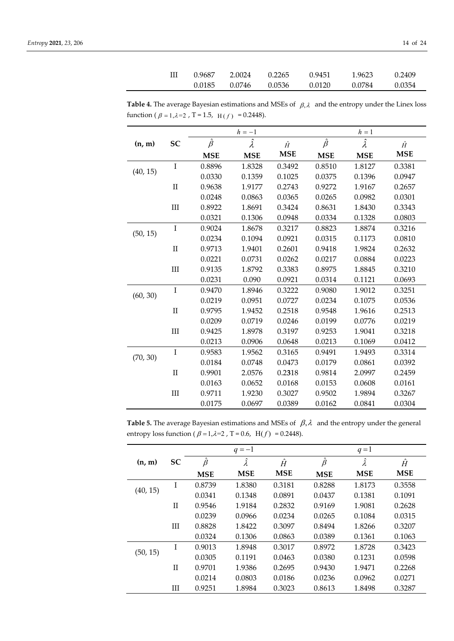| Ш | 0.9687 | 2.0024 | 0.2265 | 0.9451 | 1.9623 | 0.2409 |
|---|--------|--------|--------|--------|--------|--------|
|   | 0.0185 | 0.0746 | 0.0536 | 0.0120 | 0.0784 | 0.0354 |

**Table 4.** The average Bayesian estimations and MSEs of  $\beta$ ,  $\lambda$  and the entropy under the Linex loss function ( $\beta = 1, \lambda = 2$ , T = 1.5, H(f) = 0.2448).

|          |           |               | $h=-1$          |            |               | $h=1$           |            |
|----------|-----------|---------------|-----------------|------------|---------------|-----------------|------------|
| (n, m)   | SC        | $\hat{\beta}$ | $\hat{\lambda}$ | $\hat{H}$  | $\hat{\beta}$ | $\hat{\lambda}$ | Ĥ          |
|          |           | <b>MSE</b>    | <b>MSE</b>      | <b>MSE</b> | <b>MSE</b>    | <b>MSE</b>      | <b>MSE</b> |
|          | $\rm I$   | 0.8896        | 1.8328          | 0.3492     | 0.8510        | 1.8127          | 0.3381     |
| (40, 15) |           | 0.0330        | 0.1359          | 0.1025     | 0.0375        | 0.1396          | 0.0947     |
|          | $\rm II$  | 0.9638        | 1.9177          | 0.2743     | 0.9272        | 1.9167          | 0.2657     |
|          |           | 0.0248        | 0.0863          | 0.0365     | 0.0265        | 0.0982          | 0.0301     |
|          | $\rm III$ | 0.8922        | 1.8691          | 0.3424     | 0.8631        | 1.8430          | 0.3343     |
|          |           | 0.0321        | 0.1306          | 0.0948     | 0.0334        | 0.1328          | 0.0803     |
|          | $\rm I$   | 0.9024        | 1.8678          | 0.3217     | 0.8823        | 1.8874          | 0.3216     |
| (50, 15) |           | 0.0234        | 0.1094          | 0.0921     | 0.0315        | 0.1173          | 0.0810     |
|          | $\rm II$  | 0.9713        | 1.9401          | 0.2601     | 0.9418        | 1.9824          | 0.2632     |
|          |           | 0.0221        | 0.0731          | 0.0262     | 0.0217        | 0.0884          | 0.0223     |
|          | $\rm III$ | 0.9135        | 1.8792          | 0.3383     | 0.8975        | 1.8845          | 0.3210     |
|          |           | 0.0231        | 0.090           | 0.0921     | 0.0314        | 0.1121          | 0.0693     |
|          | $\rm I$   | 0.9470        | 1.8946          | 0.3222     | 0.9080        | 1.9012          | 0.3251     |
| (60, 30) |           | 0.0219        | 0.0951          | 0.0727     | 0.0234        | 0.1075          | 0.0536     |
|          | $\rm II$  | 0.9795        | 1.9452          | 0.2518     | 0.9548        | 1.9616          | 0.2513     |
|          |           | 0.0209        | 0.0719          | 0.0246     | 0.0199        | 0.0776          | 0.0219     |
|          | $\rm III$ | 0.9425        | 1.8978          | 0.3197     | 0.9253        | 1.9041          | 0.3218     |
|          |           | 0.0213        | 0.0906          | 0.0648     | 0.0213        | 0.1069          | 0.0412     |
|          | $\bf I$   | 0.9583        | 1.9562          | 0.3165     | 0.9491        | 1.9493          | 0.3314     |
| (70, 30) |           | 0.0184        | 0.0748          | 0.0473     | 0.0179        | 0.0861          | 0.0392     |
|          | $\rm II$  | 0.9901        | 2.0576          | 0.2318     | 0.9814        | 2.0997          | 0.2459     |
|          |           | 0.0163        | 0.0652          | 0.0168     | 0.0153        | 0.0608          | 0.0161     |
|          | $\rm III$ | 0.9711        | 1.9230          | 0.3027     | 0.9502        | 1.9894          | 0.3267     |
|          |           | 0.0175        | 0.0697          | 0.0389     | 0.0162        | 0.0841          | 0.0304     |

**Table 5.** The average Bayesian estimations and MSEs of  $\beta$ ,  $\lambda$  and the entropy under the general entropy loss function ( $\beta = 1, \lambda = 2$ , T = 0.6, H( $f$ ) = 0.2448).

|          |              |               | $q = -1$   |            |               | $q=1$           |            |
|----------|--------------|---------------|------------|------------|---------------|-----------------|------------|
| (n, m)   | SC           | $\hat{\beta}$ | Â          | $\hat{H}$  | $\hat{\beta}$ | $\hat{\lambda}$ | $\hat{H}$  |
|          |              | <b>MSE</b>    | <b>MSE</b> | <b>MSE</b> | <b>MSE</b>    | <b>MSE</b>      | <b>MSE</b> |
|          | I            | 0.8739        | 1.8380     | 0.3181     | 0.8288        | 1.8173          | 0.3558     |
| (40, 15) |              | 0.0341        | 0.1348     | 0.0891     | 0.0437        | 0.1381          | 0.1091     |
|          | $_{\rm II}$  | 0.9546        | 1.9184     | 0.2832     | 0.9169        | 1.9081          | 0.2628     |
|          |              | 0.0239        | 0.0966     | 0.0234     | 0.0265        | 0.1084          | 0.0315     |
|          | Ш            | 0.8828        | 1.8422     | 0.3097     | 0.8494        | 1.8266          | 0.3207     |
|          |              | 0.0324        | 0.1306     | 0.0863     | 0.0389        | 0.1361          | 0.1063     |
|          | I            | 0.9013        | 1.8948     | 0.3017     | 0.8972        | 1.8728          | 0.3423     |
| (50, 15) |              | 0.0305        | 0.1191     | 0.0463     | 0.0380        | 0.1231          | 0.0598     |
|          | $\mathbf{H}$ | 0.9701        | 1.9386     | 0.2695     | 0.9430        | 1.9471          | 0.2268     |
|          |              | 0.0214        | 0.0803     | 0.0186     | 0.0236        | 0.0962          | 0.0271     |
|          | Ш            | 0.9251        | 1.8984     | 0.3023     | 0.8613        | 1.8498          | 0.3287     |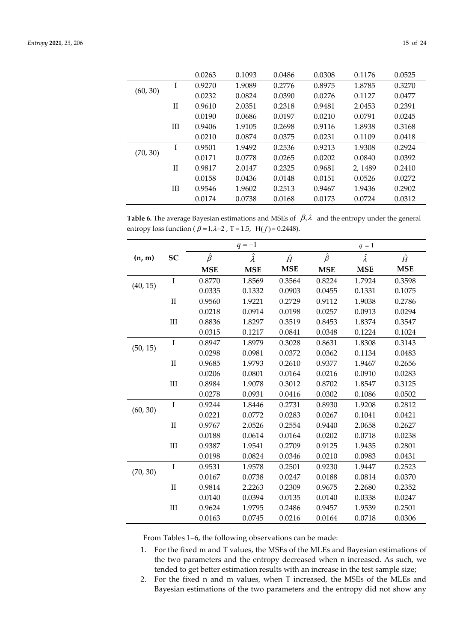|          |             | 0.0263 | 0.1093 | 0.0486 | 0.0308 | 0.1176 | 0.0525 |
|----------|-------------|--------|--------|--------|--------|--------|--------|
|          | I           | 0.9270 | 1.9089 | 0.2776 | 0.8975 | 1.8785 | 0.3270 |
| (60, 30) |             | 0.0232 | 0.0824 | 0.0390 | 0.0276 | 0.1127 | 0.0477 |
|          | $_{\rm II}$ | 0.9610 | 2.0351 | 0.2318 | 0.9481 | 2.0453 | 0.2391 |
|          |             | 0.0190 | 0.0686 | 0.0197 | 0.0210 | 0.0791 | 0.0245 |
|          | Ш           | 0.9406 | 1.9105 | 0.2698 | 0.9116 | 1.8938 | 0.3168 |
|          |             | 0.0210 | 0.0874 | 0.0375 | 0.0231 | 0.1109 | 0.0418 |
| (70, 30) | I           | 0.9501 | 1.9492 | 0.2536 | 0.9213 | 1.9308 | 0.2924 |
|          |             | 0.0171 | 0.0778 | 0.0265 | 0.0202 | 0.0840 | 0.0392 |
|          | H           | 0.9817 | 2.0147 | 0.2325 | 0.9681 | 2.1489 | 0.2410 |
|          |             | 0.0158 | 0.0436 | 0.0148 | 0.0151 | 0.0526 | 0.0272 |
|          | Ш           | 0.9546 | 1.9602 | 0.2513 | 0.9467 | 1.9436 | 0.2902 |
|          |             | 0.0174 | 0.0738 | 0.0168 | 0.0173 | 0.0724 | 0.0312 |

**Table 6.** The average Bayesian estimations and MSEs of  $\beta$ ,  $\lambda$  and the entropy under the general entropy loss function ( $\beta = 1, \lambda = 2$ , T = 1.5, H( $f$ ) = 0.2448).

|          |              |               | $q = -1$        |            |               | $q = 1$         |            |
|----------|--------------|---------------|-----------------|------------|---------------|-----------------|------------|
| (n, m)   | SC           | $\hat{\beta}$ | $\hat{\lambda}$ | Ĥ          | $\hat{\beta}$ | $\hat{\lambda}$ | Ĥ          |
|          |              | <b>MSE</b>    | <b>MSE</b>      | <b>MSE</b> | <b>MSE</b>    | <b>MSE</b>      | <b>MSE</b> |
|          | I            | 0.8770        | 1.8569          | 0.3564     | 0.8224        | 1.7924          | 0.3598     |
| (40, 15) |              | 0.0335        | 0.1332          | 0.0903     | 0.0455        | 0.1331          | 0.1075     |
|          | $\mathbf{I}$ | 0.9560        | 1.9221          | 0.2729     | 0.9112        | 1.9038          | 0.2786     |
|          |              | 0.0218        | 0.0914          | 0.0198     | 0.0257        | 0.0913          | 0.0294     |
|          | III          | 0.8836        | 1.8297          | 0.3519     | 0.8453        | 1.8374          | 0.3547     |
|          |              | 0.0315        | 0.1217          | 0.0841     | 0.0348        | 0.1224          | 0.1024     |
|          | I            | 0.8947        | 1.8979          | 0.3028     | 0.8631        | 1.8308          | 0.3143     |
| (50, 15) |              | 0.0298        | 0.0981          | 0.0372     | 0.0362        | 0.1134          | 0.0483     |
|          | $\mathbf{I}$ | 0.9685        | 1.9793          | 0.2610     | 0.9377        | 1.9467          | 0.2656     |
|          |              | 0.0206        | 0.0801          | 0.0164     | 0.0216        | 0.0910          | 0.0283     |
|          | $\rm III$    | 0.8984        | 1.9078          | 0.3012     | 0.8702        | 1.8547          | 0.3125     |
|          |              | 0.0278        | 0.0931          | 0.0416     | 0.0302        | 0.1086          | 0.0502     |
|          | $\rm I$      | 0.9244        | 1.8446          | 0.2731     | 0.8930        | 1.9208          | 0.2812     |
| (60, 30) |              | 0.0221        | 0.0772          | 0.0283     | 0.0267        | 0.1041          | 0.0421     |
|          | $\mathbf{I}$ | 0.9767        | 2.0526          | 0.2554     | 0.9440        | 2.0658          | 0.2627     |
|          |              | 0.0188        | 0.0614          | 0.0164     | 0.0202        | 0.0718          | 0.0238     |
|          | $\rm III$    | 0.9387        | 1.9541          | 0.2709     | 0.9125        | 1.9435          | 0.2801     |
|          |              | 0.0198        | 0.0824          | 0.0346     | 0.0210        | 0.0983          | 0.0431     |
| (70, 30) | $\rm I$      | 0.9531        | 1.9578          | 0.2501     | 0.9230        | 1.9447          | 0.2523     |
|          |              | 0.0167        | 0.0738          | 0.0247     | 0.0188        | 0.0814          | 0.0370     |
|          | $\mathbf{I}$ | 0.9814        | 2.2263          | 0.2309     | 0.9675        | 2.2680          | 0.2352     |
|          |              | 0.0140        | 0.0394          | 0.0135     | 0.0140        | 0.0338          | 0.0247     |
|          | III          | 0.9624        | 1.9795          | 0.2486     | 0.9457        | 1.9539          | 0.2501     |
|          |              | 0.0163        | 0.0745          | 0.0216     | 0.0164        | 0.0718          | 0.0306     |

From Tables 1–6, the following observations can be made:

- 1. For the fixed m and T values, the MSEs of the MLEs and Bayesian estimations of the two parameters and the entropy decreased when n increased. As such, we tended to get better estimation results with an increase in the test sample size;
- 2. For the fixed n and m values, when T increased, the MSEs of the MLEs and Bayesian estimations of the two parameters and the entropy did not show any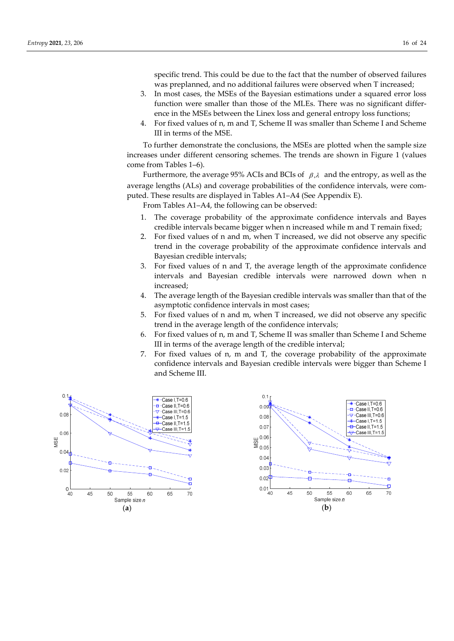specific trend. This could be due to the fact that the number of observed failures was preplanned, and no additional failures were observed when T increased;

- 3. In most cases, the MSEs of the Bayesian estimations under a squared error loss function were smaller than those of the MLEs. There was no significant difference in the MSEs between the Linex loss and general entropy loss functions;
- 4. For fixed values of n, m and T, Scheme II was smaller than Scheme I and Scheme III in terms of the MSE.

To further demonstrate the conclusions, the MSEs are plotted when the sample size increases under different censoring schemes. The trends are shown in Figure 1 (values come from Tables 1–6).

Furthermore, the average 95% ACIs and BCIs of  $\beta$ , and the entropy, as well as the average lengths (ALs) and coverage probabilities of the confidence intervals, were computed. These results are displayed in Tables A1–A4 (See Appendix E).

From Tables A1–A4, the following can be observed:

- 1. The coverage probability of the approximate confidence intervals and Bayes credible intervals became bigger when n increased while m and T remain fixed;
- 2. For fixed values of n and m, when T increased, we did not observe any specific trend in the coverage probability of the approximate confidence intervals and Bayesian credible intervals;
- 3. For fixed values of n and T, the average length of the approximate confidence intervals and Bayesian credible intervals were narrowed down when n increased;
- 4. The average length of the Bayesian credible intervals was smaller than that of the asymptotic confidence intervals in most cases;
- 5. For fixed values of n and m, when T increased, we did not observe any specific trend in the average length of the confidence intervals;
- 6. For fixed values of n, m and T, Scheme II was smaller than Scheme I and Scheme III in terms of the average length of the credible interval;
- 7. For fixed values of n, m and T, the coverage probability of the approximate confidence intervals and Bayesian credible intervals were bigger than Scheme I and Scheme III.



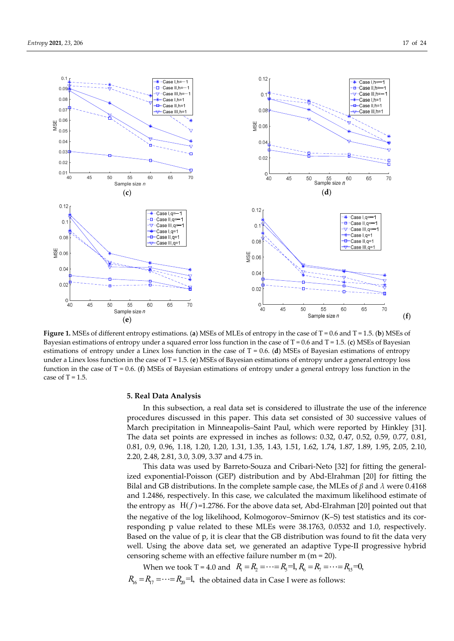



**Figure 1.** MSEs of different entropy estimations. (**a**) MSEs of MLEs of entropy in the case of  $T = 0.6$  and  $T = 1.5$ . (**b**) MSEs of Bayesian estimations of entropy under a squared error loss function in the case of T = 0.6 and T = 1.5. (**c**) MSEs of Bayesian estimations of entropy under a Linex loss function in the case of T = 0.6. (**d**) MSEs of Bayesian estimations of entropy under a Linex loss function in the case of T = 1.5. (**e**) MSEs of Bayesian estimations of entropy under a general entropy loss function in the case of T = 0.6. (**f**) MSEs of Bayesian estimations of entropy under a general entropy loss function in the case of  $T = 1.5$ .

## **5. Real Data Analysis**

In this subsection, a real data set is considered to illustrate the use of the inference procedures discussed in this paper. This data set consisted of 30 successive values of March precipitation in Minneapolis–Saint Paul, which were reported by Hinkley [31]. The data set points are expressed in inches as follows: 0.32, 0.47, 0.52, 0.59, 0.77, 0.81, 0.81, 0.9, 0.96, 1.18, 1.20, 1.20, 1.31, 1.35, 1.43, 1.51, 1.62, 1.74, 1.87, 1.89, 1.95, 2.05, 2.10, 2.20, 2.48, 2.81, 3.0, 3.09, 3.37 and 4.75 in.

This data was used by Barreto-Souza and Cribari-Neto [32] for fitting the generalized exponential-Poisson (GEP) distribution and by Abd-Elrahman [20] for fitting the Bilal and GB distributions. In the complete sample case, the MLEs of *β* and *λ* were 0.4168 and 1.2486, respectively. In this case, we calculated the maximum likelihood estimate of the entropy as  $H(f) = 1.2786$ . For the above data set, Abd-Elrahman [20] pointed out that the negative of the log likelihood, Kolmogorov–Smirnov (K–S) test statistics and its corresponding p value related to these MLEs were 38.1763, 0.0532 and 1.0, respectively. Based on the value of p, it is clear that the GB distribution was found to fit the data very well. Using the above data set, we generated an adaptive Type-II progressive hybrid censoring scheme with an effective failure number m (m = 20).

When we took T = 4.0 and  $R_1 = R_2 = \cdots = R_5 = 1, R_6 = R_7 = \cdots = R_1 = 0,$  $R_{16} = R_{17} = \cdots = R_{20} = 1$ , the obtained data in Case I were as follows: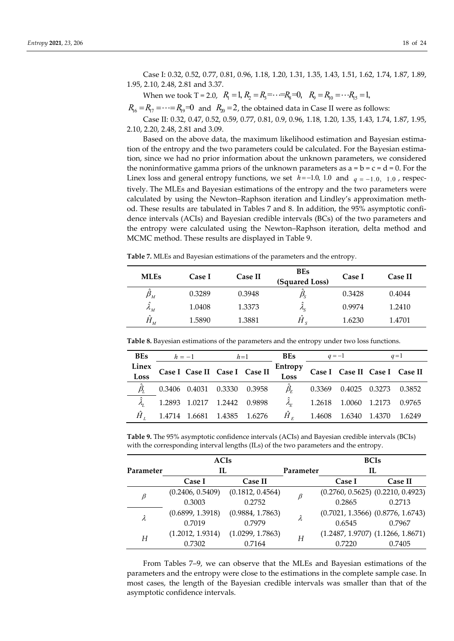Case I: 0.32, 0.52, 0.77, 0.81, 0.96, 1.18, 1.20, 1.31, 1.35, 1.43, 1.51, 1.62, 1.74, 1.87, 1.89, 1.95, 2.10, 2.48, 2.81 and 3.37.

When we took T = 2.0,  $R_1 = 1$ ,  $R_2 = R_3 = \cdots = R_8 = 0$ ,  $R_9 = R_{10} = \cdots R_{15} = 1$ ,

 $R_{16} = R_{17} = \cdots = R_{19} = 0$  and  $R_{20} = 2$ , the obtained data in Case II were as follows:

Case II: 0.32, 0.47, 0.52, 0.59, 0.77, 0.81, 0.9, 0.96, 1.18, 1.20, 1.35, 1.43, 1.74, 1.87, 1.95, 2.10, 2.20, 2.48, 2.81 and 3.09.

Based on the above data, the maximum likelihood estimation and Bayesian estimation of the entropy and the two parameters could be calculated. For the Bayesian estimation, since we had no prior information about the unknown parameters, we considered the noninformative gamma priors of the unknown parameters as  $a = b = c = d = 0$ . For the Linex loss and general entropy functions, we set  $h = -1.0, 1.0$  and  $q = -1.0, 1.0$ , respectively. The MLEs and Bayesian estimations of the entropy and the two parameters were calculated by using the Newton–Raphson iteration and Lindley's approximation method. These results are tabulated in Tables 7 and 8. In addition, the 95% asymptotic confidence intervals (ACIs) and Bayesian credible intervals (BCs) of the two parameters and the entropy were calculated using the Newton–Raphson iteration, delta method and MCMC method. These results are displayed in Table 9.

**Table 7.** MLEs and Bayesian estimations of the parameters and the entropy.

| <b>MLEs</b>                                 | Case I | Case II | <b>BEs</b><br>(Squared Loss)          | Case I | Case II |
|---------------------------------------------|--------|---------|---------------------------------------|--------|---------|
| $\overline{\phantom{a}}$<br>$\pmb{\beta}_M$ | 0.3289 | 0.3948  | $\mu_{\scriptscriptstyle \mathrm{S}}$ | 0.3428 | 0.4044  |
| $\hat{\phantom{a}}$<br>$\Lambda_M$          | 1.0408 | 1.3373  | $\mathcal{L}_{S}$                     | 0.9974 | 1.2410  |
| $\sim$<br>$H_{_M}$                          | 1.5890 | 1.3881  | $\sim$<br>Π                           | 1.6230 | 1.4701  |

| <b>BEs</b>    | $h=-1$ |                                               | $h=1$                         | <b>BEs</b>      | $q=-1$                                        | $q=1$ |
|---------------|--------|-----------------------------------------------|-------------------------------|-----------------|-----------------------------------------------|-------|
| Linex<br>Loss |        |                                               | Case I Case II Case I Case II | Entropy<br>Loss | Case I Case II Case I Case II                 |       |
|               |        |                                               | 0.3406 0.4031 0.3330 0.3958   |                 | $\hat{\beta}_{r}$ 0.3369 0.4025 0.3273 0.3852 |       |
|               |        | $\hat{\lambda}_1$ 1.2893 1.0217 1.2442 0.9898 |                               |                 | $\hat{\lambda}_F$ 1.2618 1.0060 1.2173 0.9765 |       |
|               |        | $\hat{H}_1$ 1.4714 1.6681 1.4385 1.6276       |                               |                 | $\hat{H}_r$ 1.4608 1.6340 1.4370 1.6249       |       |

**Table 8.** Bayesian estimations of the parameters and the entropy under two loss functions.

**Table 9.** The 95% asymptotic confidence intervals (ACIs) and Bayesian credible intervals (BCIs) with the corresponding interval lengths (ILs) of the two parameters and the entropy.

|           | <b>ACIs</b>      |                  |           | <b>BCIs</b> |                                       |  |
|-----------|------------------|------------------|-----------|-------------|---------------------------------------|--|
| Parameter | IL               |                  | Parameter |             | IL                                    |  |
|           | Case I           | Case II          |           | Case I      | Case II                               |  |
| $\beta$   | (0.2406, 0.5409) | (0.1812, 0.4564) |           |             | $(0.2760, 0.5625)$ $(0.2210, 0.4923)$ |  |
|           | 0.3003           | 0.2752           |           | 0.2865      | 0.2713                                |  |
|           | (0.6899, 1.3918) | (0.9884, 1.7863) |           |             | $(0.7021, 1.3566)$ $(0.8776, 1.6743)$ |  |
| λ         | 0.7019           | 0.7979           |           | 0.6545      | 0.7967                                |  |
| Н         | (1.2012, 1.9314) | (1.0299, 1.7863) | Н         |             | $(1.2487, 1.9707)$ $(1.1266, 1.8671)$ |  |
|           | 0.7302           | 0.7164           |           | 0.7220      | 0.7405                                |  |

From Tables 7–9, we can observe that the MLEs and Bayesian estimations of the parameters and the entropy were close to the estimations in the complete sample case. In most cases, the length of the Bayesian credible intervals was smaller than that of the asymptotic confidence intervals.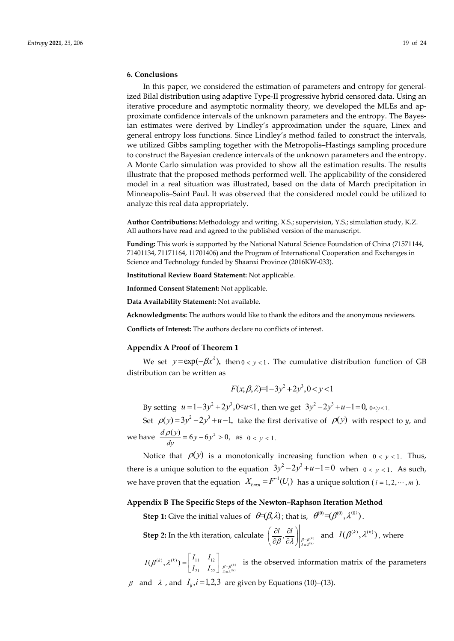# **6. Conclusions**

In this paper, we considered the estimation of parameters and entropy for generalized Bilal distribution using adaptive Type-II progressive hybrid censored data. Using an iterative procedure and asymptotic normality theory, we developed the MLEs and approximate confidence intervals of the unknown parameters and the entropy. The Bayesian estimates were derived by Lindley's approximation under the square, Linex and general entropy loss functions. Since Lindley's method failed to construct the intervals, we utilized Gibbs sampling together with the Metropolis–Hastings sampling procedure to construct the Bayesian credence intervals of the unknown parameters and the entropy. A Monte Carlo simulation was provided to show all the estimation results. The results illustrate that the proposed methods performed well. The applicability of the considered model in a real situation was illustrated, based on the data of March precipitation in Minneapolis–Saint Paul. It was observed that the considered model could be utilized to analyze this real data appropriately.

**Author Contributions:** Methodology and writing, X.S.; supervision, Y.S.; simulation study, K.Z. All authors have read and agreed to the published version of the manuscript.

**Funding:** This work is supported by the National Natural Science Foundation of China (71571144, 71401134, 71171164, 11701406) and the Program of International Cooperation and Exchanges in Science and Technology funded by Shaanxi Province (2016KW-033).

**Institutional Review Board Statement:** Not applicable.

**Informed Consent Statement:** Not applicable.

**Data Availability Statement:** Not available.

**Acknowledgments:** The authors would like to thank the editors and the anonymous reviewers.

**Conflicts of Interest:** The authors declare no conflicts of interest.

## **Appendix A Proof of Theorem 1**

We set  $y = \exp(-\beta x^{\lambda})$ , then  $0 < y < 1$ . The cumulative distribution function of GB distribution can be written as

$$
F(x; \beta, \lambda) = 1 - 3y^2 + 2y^3, 0 < y < 1
$$

By setting  $u = 1 - 3y^2 + 2y^3$ ,  $0 \le u \le 1$ , then we get  $3y^2 - 2y^3 + u - 1 = 0$ ,  $0 \le v \le 1$ .

Set  $\rho(y) = 3y^2 - 2y^3 + u - 1$ , take the first derivative of  $\rho(y)$  with respect to *y*, and

we have  $\frac{d\rho(y)}{dy} = 6y - 6y^2 > 0$ , as  $0 < y < 1$ .

Notice that  $\rho(y)$  is a monotonically increasing function when  $0 < y < 1$ . Thus, there is a unique solution to the equation  $3y^2 - 2y^3 + u - 1 = 0$  when  $0 < y < 1$ . As such, we have proven that the equation  $|X_{i:mn} = F^{-1}(U_i)|$  has a unique solution (  $i = 1, 2, \cdots, m$  ).

# **Appendix B The Specific Steps of the Newton–Raphson Iteration Method**

**Step 1:** Give the initial values of  $\theta \in (\beta, \lambda)$ ; that is,  $\theta^{(0)} = (\beta^{(0)}, \lambda^{(0)})$ .

**Step 2:** In the *k*th iteration, calculate  $\left(\frac{\partial l}{\partial \theta}, \frac{\partial l}{\partial \theta}\right)_{\theta=\theta^{(k)}}$  $\left(\frac{\partial l}{\partial \beta}, \frac{\partial l}{\partial \lambda}\right)_{\beta=\beta^{(k)}\atop{\lambda=\lambda^{(k)}}}$  and  $I(\beta^{(k)}, \lambda^{(k)})$ , where

 $\left( \begin{array}{c} (k) \\ k \end{array} \right)$ ,  $\lambda^{(k)}$ ) =  $\begin{array}{c} 11 & 12 \\ 1 & 12 \end{array}$   $\begin{array}{c} | \\ \hline \\ \hline \end{array}$  $I(\beta^{(k)}, \lambda^{(k)}) = \begin{bmatrix} I_{11} & I_{12} \ I_{21} & I_{22} \end{bmatrix} \begin{bmatrix} I_{12} \ \beta = \beta^{(k)} \ \lambda = \lambda^{(k)} \end{bmatrix}$  $\beta^{\scriptscriptstyle{(\kappa)}},\lambda^\scriptscriptstyle{(\kappa)}$  $=\begin{bmatrix} I_{11} & I_{12} \ I_{21} & I_{22} \end{bmatrix}\begin{bmatrix} I_{\beta=\beta^{(k)} \ \beta=\beta^{(k)} \end{bmatrix}$  is the observed information matrix of the parameters

 $\beta$  and  $\lambda$ , and  $I_{ii}$ ,  $i=1,2,3$  are given by Equations (10)–(13).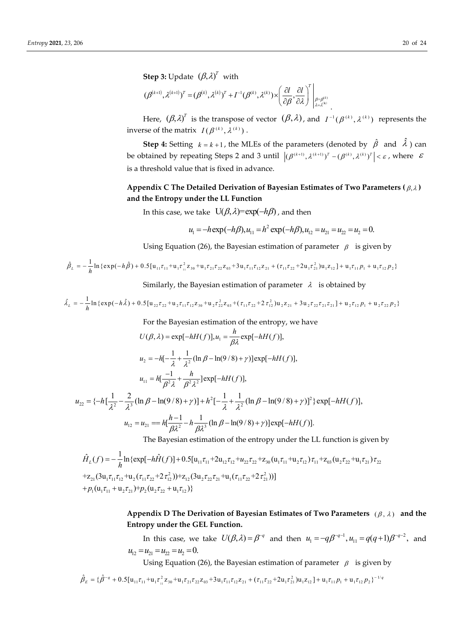**Step 3:** Update  $(\beta, \lambda)^T$  with

$$
(\boldsymbol{\beta}^{(k+1)},\boldsymbol{\lambda}^{(k+1)})^T=(\boldsymbol{\beta}^{(k)},\boldsymbol{\lambda}^{(k)})^T+\boldsymbol{\varGamma}^{-1}(\boldsymbol{\beta}^{(k)},\boldsymbol{\lambda}^{(k)})\times\left(\frac{\partial\boldsymbol{l}}{\partial\boldsymbol{\beta}},\frac{\partial\boldsymbol{l}}{\partial\boldsymbol{\lambda}}\right)^T\Bigg|_{\substack{\boldsymbol{\beta}=\boldsymbol{\beta}^{(k)}\\ \boldsymbol{\lambda}=\boldsymbol{\lambda}^{(k)} }}.
$$

Here,  $(\beta, \lambda)^T$  is the transpose of vector  $(\beta, \lambda)$ , and  $I^{-1}(\beta^{(k)}, \lambda^{(k)})$  represents the inverse of the matrix  $I(\beta^{(k)}, \lambda^{(k)})$ .

**Step 4:** Setting  $k = k + 1$ , the MLEs of the parameters (denoted by  $\hat{\beta}$  and  $\hat{\lambda}$ ) can be obtained by repeating Steps 2 and 3 until  $|(\beta^{(k+1)}, \lambda^{(k+1)})^T - (\beta^{(k)}, \lambda^{(k)})^T| < \varepsilon$ , where  $\varepsilon$ is a threshold value that is fixed in advance.

# Appendix C The Detailed Derivation of Bayesian Estimates of Two Parameters  $(\beta, \lambda)$ **and the Entropy under the LL Function**

In this case, we take  $U(\beta, \lambda) = \exp(-h\beta)$ , and then

$$
u_1 = -h \exp(-h\beta), u_{11} = h^2 \exp(-h\beta), u_{12} = u_{21} = u_{22} = u_2 = 0.
$$

Using Equation (26), the Bayesian estimation of parameter  $\beta$  is given by

$$
\hat{\beta}_L = -\frac{1}{h} \ln \{ \exp(-h\hat{\beta}) + 0.5[u_{11}\tau_{11} + u_1\tau_{11}^2 z_{30} + u_1\tau_{21}\tau_{22}z_{03} + 3u_1\tau_{11}\tau_{12}z_{21} + (\tau_{11}\tau_{22} + 2u_1\tau_{21}^2)u_1z_{12}] + u_1\tau_{11}p_1 + u_1\tau_{12}p_2 \}
$$

Similarly, the Bayesian estimation of parameter  $\lambda$  is obtained by

$$
\hat{\lambda}_{L} = -\frac{1}{h} \ln \{ \exp(-h\hat{\lambda}) + 0.5 [u_{22}\tau_{22} + u_{2}\tau_{11}\tau_{12}z_{30} + u_{2}\tau_{22}^{2}z_{03} + (\tau_{11}\tau_{22} + 2\tau_{12}^{2})u_{2}z_{21} + 3u_{2}\tau_{22}\tau_{21}z_{21}] + u_{2}\tau_{12}p_{1} + u_{2}\tau_{22}p_{2} \}
$$

For the Bayesian estimation of the entropy, we have

$$
U(\beta, \lambda) = \exp[-hH(f)], u_1 = \frac{h}{\beta \lambda} \exp[-hH(f)],
$$
  
\n
$$
u_2 = -h[-\frac{1}{\lambda} + \frac{1}{\lambda^2}(\ln \beta - \ln(9/8) + \gamma)]\exp[-hH(f)],
$$
  
\n
$$
u_{11} = h[-\frac{1}{\beta^2 \lambda} + \frac{h}{\beta^2 \lambda^2}]\exp[-hH(f)],
$$

$$
u_{22} = \{-h\left[\frac{1}{\lambda^2} - \frac{2}{\lambda^3}(\ln \beta - \ln(9/8) + \gamma)\right] + h^2\left[-\frac{1}{\lambda} + \frac{1}{\lambda^2}(\ln \beta - \ln(9/8) + \gamma)\right]^2\} \exp[-hH(f)],
$$
  

$$
u_{12} = u_{21} = h\left[\frac{h-1}{\beta\lambda^2} - h\frac{1}{\beta\lambda^3}(\ln \beta - \ln(9/8) + \gamma)\right] \exp[-hH(f)].
$$

The Bayesian estimation of the entropy under the LL function is given by

$$
\hat{H}_{L}(f) = -\frac{1}{h} \ln \{ \exp[-h\hat{H}(f)] + 0.5[u_{11}\tau_{11} + 2u_{12}\tau_{12} + u_{22}\tau_{22} + z_{30}(u_{1}\tau_{11} + u_{2}\tau_{12})\tau_{11} + z_{03}(u_{2}\tau_{22} + u_{1}\tau_{21})\tau_{22}\}
$$
\n
$$
+z_{21}(3u_{1}\tau_{11}\tau_{12} + u_{2}(\tau_{11}\tau_{22} + 2\tau_{12}^{2})) + z_{12}(3u_{2}\tau_{22}\tau_{21} + u_{1}(\tau_{11}\tau_{22} + 2\tau_{21}^{2}))]
$$
\n
$$
+p_{1}(u_{1}\tau_{11} + u_{2}\tau_{21}) + p_{2}(u_{2}\tau_{22} + u_{1}\tau_{12})\}
$$

# Appendix D The Derivation of Bayesian Estimates of Two Parameters  $(\beta, \lambda)$  and the **Entropy under the GEL Function.**

In this case, we take  $U(\beta, \lambda) = \beta^{-q}$  and then  $u_1 = -q\beta^{-q-1}, u_{11} = q(q+1)\beta^{-q-2}$ , and  $u_{12} = u_{21} = u_{22} = u_{2} = 0.$ 

Using Equation (26), the Bayesian estimation of parameter  $\beta$  is given by

$$
\hat{\beta}_{E} = \{\hat{\beta}^{-q} + 0.5[u_{11}\tau_{11} + u_{1}\tau_{11}^{2}z_{30} + u_{1}\tau_{21}\tau_{22}z_{03} + 3u_{1}\tau_{11}\tau_{12}z_{21} + (\tau_{11}\tau_{22} + 2u_{1}\tau_{21}^{2})u_{1}z_{12}\} + u_{1}\tau_{11}p_{1} + u_{1}\tau_{12}p_{2}\}^{-1/q}
$$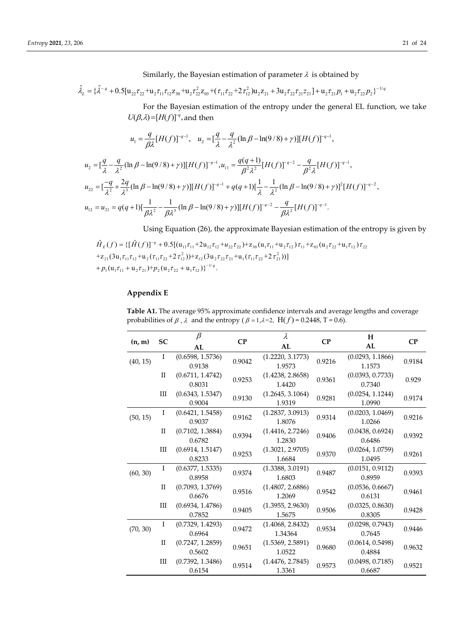Similarly, the Bayesian estimation of parameter  $\lambda$  is obtained by

$$
\hat{\lambda}_{L} = \{\hat{\lambda}^{-q} + 0.5[u_{22}\tau_{22} + u_{2}\tau_{11}\tau_{12}z_{30} + u_{2}\tau_{22}^{2}z_{03} + (\tau_{11}\tau_{22} + 2\tau_{12}^{2})u_{2}z_{21} + 3u_{2}\tau_{22}\tau_{21}z_{21}\} + u_{2}\tau_{21}p_{1} + u_{2}\tau_{22}p_{2}\}^{-1/q}
$$

For the Bayesian estimation of the entropy under the general EL function, we take  $U(\beta, \lambda) = [H(f)]^{-q}$ , and then

$$
u_1 = \frac{q}{\beta \lambda} [H(f)]^{-q-1}, \quad u_2 = \left[\frac{q}{\lambda} - \frac{q}{\lambda^2} (\ln \beta - \ln(9/8) + \gamma)] [H(f)]^{-q-1},
$$

$$
u_2 = \left[\frac{q}{\lambda} - \frac{q}{\lambda^2} (\ln \beta - \ln(9/8) + \gamma) \right] [H(f)]^{-q-1}, u_{11} = \frac{q(q+1)}{\beta^2 \lambda^2} [H(f)]^{-q-2} - \frac{q}{\beta^2 \lambda} [H(f)]^{-q-1},
$$
  
\n
$$
u_{22} = \left[\frac{-q}{\lambda^2} + \frac{2q}{\lambda^3} (\ln \beta - \ln(9/8) + \gamma) \right] [H(f)]^{-q-1} + q(q+1) \left[\frac{1}{\lambda} - \frac{1}{\lambda^2} (\ln \beta - \ln(9/8) + \gamma) \right]^2 [H(f)]^{-q-2},
$$
  
\n
$$
u_{12} = u_{21} = q(q+1) [\frac{1}{\beta \lambda^2} - \frac{1}{\beta \lambda^3} (\ln \beta - \ln(9/8) + \gamma) ] [H(f)]^{-q-2} - \frac{q}{\beta \lambda^2} [H(f)]^{-q-1}.
$$

Using Equation (26), the approximate Bayesian estimation of the entropy is given by

$$
\hat{H}_E(f) = \{ [\hat{H}(f)]^{-q} + 0.5[(\mathbf{u}_{11}\tau_{11} + 2\mathbf{u}_{12}\tau_{12} + u_{22}\tau_{22}) + \mathbf{z}_{30}(\mathbf{u}_1\tau_{11} + \mathbf{u}_2\tau_{12})\tau_{11} + \mathbf{z}_{03}(\mathbf{u}_2\tau_{22} + \mathbf{u}_1\tau_{12})\tau_{22} + \mathbf{z}_{21}(3\mathbf{u}_1\tau_{11}\tau_{12} + \mathbf{u}_2(\tau_{11}\tau_{22} + 2\tau_{12}^2)) + \mathbf{z}_{12}(3\mathbf{u}_2\tau_{22}\tau_{21} + \mathbf{u}_1(\tau_{11}\tau_{22} + 2\tau_{21}^2)) ]
$$
  
+  $p_1(\mathbf{u}_1\tau_{11} + \mathbf{u}_2\tau_{21}) + p_2(\mathbf{u}_2\tau_{22} + \mathbf{u}_1\tau_{12})\}^{-1/q}.$ 

# **Appendix E**

**Table A1.** The average 95% approximate confidence intervals and average lengths and coverage probabilities of  $\beta$ ,  $\lambda$  and the entropy ( $\beta = 1, \lambda = 2$ , H( $f$ ) = 0.2448, T = 0.6).

| (n, m)   | <b>SC</b>   | $\beta$                    | CP     | λ                           | CP     | Н                          | CP     |
|----------|-------------|----------------------------|--------|-----------------------------|--------|----------------------------|--------|
|          |             | AL                         |        | AL                          |        | AL                         |        |
| (40, 15) | Ι.          | (0.6598, 1.5736)<br>0.9138 | 0.9042 | (1.2220, 3.1773)<br>1.9573  | 0.9216 | (0.0293, 1.1866)<br>1.1573 | 0.9184 |
|          | П           | (0.6711, 1.4742)<br>0.8031 | 0.9253 | (1.4238, 2.8658)<br>1.4420  | 0.9361 | (0.0393, 0.7733)<br>0.7340 | 0.929  |
|          | Ш           | (0.6343, 1.5347)<br>0.9004 | 0.9130 | (1.2645, 3.1064)<br>1.9319  | 0.9281 | (0.0254, 1.1244)<br>1.0990 | 0.9174 |
| (50, 15) | Ι           | (0.6421, 1.5458)<br>0.9037 | 0.9162 | (1.2837, 3.0913)<br>1.8076  | 0.9314 | (0.0203, 1.0469)<br>1.0266 | 0.9216 |
|          | П           | (0.7102, 1.3884)<br>0.6782 | 0.9394 | (1.4416, 2.7246)<br>1.2830  | 0.9406 | (0.0438, 0.6924)<br>0.6486 | 0.9392 |
|          | Ш           | (0.6914, 1.5147)<br>0.8233 | 0.9253 | (1.3021, 2.9705)<br>1.6684  | 0.9370 | (0.0264, 1.0759)<br>1.0495 | 0.9261 |
| (60, 30) | I           | (0.6377, 1.5335)<br>0.8958 | 0.9374 | (1.3388, 3.0191)<br>1.6803  | 0.9487 | (0.0151, 0.9112)<br>0.8959 | 0.9393 |
|          | $_{\rm II}$ | (0.7093, 1.3769)<br>0.6676 | 0.9516 | (1.4807, 2.6886)<br>1.2069  | 0.9542 | (0.0536, 0.6667)<br>0.6131 | 0.9461 |
|          | Ш           | (0.6934, 1.4786)<br>0.7852 | 0.9405 | (1.3955, 2.9630)<br>1.5675  | 0.9506 | (0.0325, 0.8630)<br>0.8305 | 0.9428 |
| (70, 30) | I           | (0.7329, 1.4293)<br>0.6964 | 0.9472 | (1.4068, 2.8432)<br>1.34364 | 0.9534 | (0.0298, 0.7943)<br>0.7645 | 0.9446 |
|          | $_{\rm II}$ | (0.7247, 1.2859)<br>0.5602 | 0.9651 | (1.5369, 2.5891)<br>1.0522  | 0.9680 | (0.0614, 0.5498)<br>0.4884 | 0.9632 |
|          | Ш           | (0.7392, 1.3486)<br>0.6154 | 0.9514 | (1.4476, 2.7845)<br>1.3361  | 0.9573 | (0.0498, 0.7185)<br>0.6687 | 0.9521 |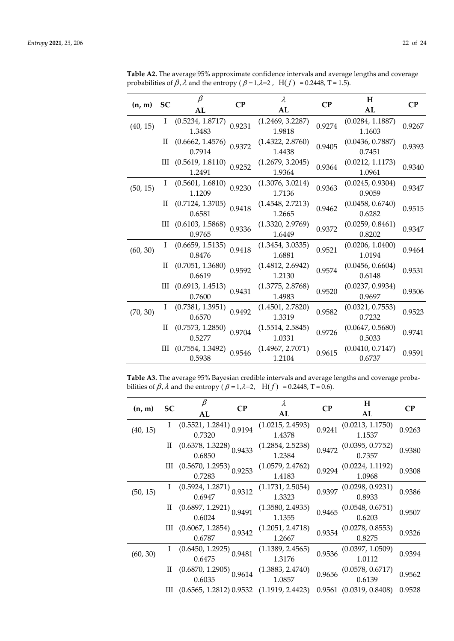|          | <b>SC</b> | $\beta$                                        | $\bf CP$ | $\lambda$        | $\bf CP$ | H                |          |
|----------|-----------|------------------------------------------------|----------|------------------|----------|------------------|----------|
| (n, m)   |           | AL                                             |          | AL               |          | AL               | $\bf CP$ |
| (40, 15) | I         | (0.5234, 1.8717)                               | 0.9231   | (1.2469, 3.2287) | 0.9274   | (0.0284, 1.1887) | 0.9267   |
|          |           | 1.3483                                         |          | 1.9818           |          | 1.1603           |          |
|          | П         | (0.6662, 1.4576)                               | 0.9372   | (1.4322, 2.8760) | 0.9405   | (0.0436, 0.7887) |          |
|          |           | 0.7914                                         |          | 1.4438           |          | 0.7451           | 0.9393   |
|          | Ш         | (0.5619, 1.8110)                               | 0.9252   | (1.2679, 3.2045) | 0.9364   | (0.0212, 1.1173) |          |
|          |           | 1.2491                                         |          | 1.9364           |          | 1.0961           | 0.9340   |
|          | Ι         | (0.5601, 1.6810)                               | 0.9230   | (1.3076, 3.0214) | 0.9363   | (0.0245, 0.9304) | 0.9347   |
| (50, 15) |           | 1.1209                                         |          | 1.7136           |          | 0.9059           |          |
|          | П         | (0.7124, 1.3705)                               | 0.9418   | (1.4548, 2.7213) | 0.9462   | (0.0458, 0.6740) | 0.9515   |
|          |           | 0.6581                                         |          | 1.2665           |          | 0.6282           |          |
|          | Ш         | (0.6103, 1.5868)                               | 0.9336   | (1.3320, 2.9769) | 0.9372   | (0.0259, 0.8461) | 0.9347   |
|          |           | 0.9765                                         |          | 1.6449           |          | 0.8202           |          |
| (60, 30) | Ι         | (0.6659, 1.5135)                               | 0.9418   | (1.3454, 3.0335) | 0.9521   | (0.0206, 1.0400) | 0.9464   |
|          |           | 0.8476                                         |          | 1.6881           |          | 1.0194           |          |
|          | П         | (0.7051, 1.3680)                               | 0.9592   | (1.4812, 2.6942) | 0.9574   | (0.0456, 0.6604) | 0.9531   |
|          |           | 0.6619                                         |          | 1.2130           |          | 0.6148           |          |
|          |           | III (0.6913, 1.4513)                           | 0.9431   | (1.3775, 2.8768) | 0.9520   | (0.0237, 0.9934) | 0.9506   |
|          |           | 0.7600                                         |          | 1.4983           |          | 0.9697           |          |
| (70, 30) | L         | (0.7381, 1.3951)                               | 0.9492   | (1.4501, 2.7820) | 0.9582   | (0.0321, 0.7553) | 0.9523   |
|          |           | 0.6570                                         |          | 1.3319           |          | 0.7232           |          |
|          | H         | (0.7573, 1.2850)<br>(1.5514, 2.5845)<br>0.9704 | 0.9726   | (0.0647, 0.5680) | 0.9741   |                  |          |
|          |           | 0.5277                                         |          | 1.0331           |          | 0.5033           |          |
|          | Ш         | (0.7554, 1.3492)                               | 0.9546   | (1.4967, 2.7071) | 0.9615   | (0.0410, 0.7147) | 0.9591   |
|          |           | 0.5938                                         |          | 1.2104           |          | 0.6737           |          |

**Table A2.** The average 95% approximate confidence intervals and average lengths and coverage probabilities of  $\beta$ ,  $\lambda$  and the entropy ( $\beta = 1, \lambda = 2$ , H(f) = 0.2448, T = 1.5).

**Table A3.** The average 95% Bayesian credible intervals and average lengths and coverage probabilities of  $\beta$ ,  $\lambda$  and the entropy ( $\beta = 1, \lambda = 2$ , H(f) = 0.2448, T = 0.6).

| (n, m)   | SC | β<br>$\bf CP$<br>AL                            | λ<br>AL                    | CP     | H<br>AL                             | <b>CP</b> |
|----------|----|------------------------------------------------|----------------------------|--------|-------------------------------------|-----------|
| (40, 15) |    | $(0.5521, 1.2841)$ <sub>0.9194</sub><br>0.7320 | (1.0215, 2.4593)<br>1.4378 | 0.9241 | (0.0213, 1.1750)<br>1.1537          | 0.9263    |
|          | П  | $(0.6378, 1.3228)$ <sub>0.9433</sub><br>0.6850 | (1.2854, 2.5238)<br>1.2384 | 0.9472 | (0.0395, 0.7752)<br>0.7357          | 0.9380    |
|          |    | III $(0.5670, 1.2953)$ 0.9253<br>0.7283        | (1.0579, 2.4762)<br>1.4183 | 0.9294 | (0.0224, 1.1192)<br>1.0968          | 0.9308    |
| (50, 15) |    | $(0.5924, 1.2871)$<br>0.6947<br>0.9312         | (1.1731, 2.5054)<br>1.3323 | 0.9397 | (0.0298, 0.9231)<br>0.8933          | 0.9386    |
|          |    | $(0.6897, 1.2921)$ <sub>0.9491</sub><br>0.6024 | (1.3580, 2.4935)<br>1.1355 |        | $0.9465$ (0.0548, 0.6751)<br>0.6203 | 0.9507    |
|          | Щ  | $(0.6067, 1.2854)$ <sub>0.9342</sub><br>0.6787 | (1.2051, 2.4718)<br>1.2667 | 0.9354 | (0.0278, 0.8553)<br>0.8275          | 0.9326    |
| (60, 30) |    | $(0.6450, 1.2925)$ 0.9481<br>0.6475            | (1.1389, 2.4565)<br>1.3176 | 0.9536 | (0.0397, 1.0509)<br>1.0112          | 0.9394    |
|          |    | $(0.6870,\,1.2905)\,\,\,0.9614$ 0.6035         | (1.3883, 2.4740)<br>1.0857 | 0.9656 | (0.0578, 0.6717)<br>0.6139          | 0.9562    |
|          |    | III (0.6565, 1.2812) 0.9532                    | (1.1919, 2.4423)           |        | 0.9561 (0.0319, 0.8408)             | 0.9528    |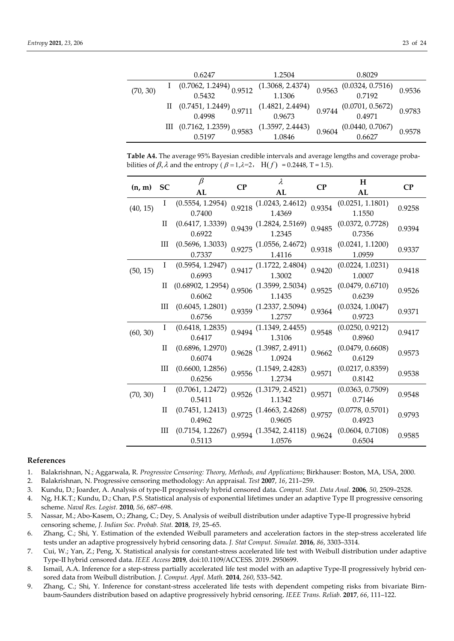|          | 0.6247                                  | 1.2504                         | 0.8029                                                           |        |
|----------|-----------------------------------------|--------------------------------|------------------------------------------------------------------|--------|
| (70, 30) | $(0.7062, 1.2494)$ 0.9512<br>0.5432     | $(1.3068, 2.4374)$<br>$1.1306$ | $0.9563 \begin{array}{c} (0.0324, 0.7516) \\ 0.7192 \end{array}$ | 0.9536 |
|          |                                         |                                |                                                                  |        |
|          | II $(0.7451, 1.2449)$ $0.9711$          | (1.4821, 2.4494)               | $0.9744 \begin{array}{c} (0.0701, 0.5672) \\ 0.4971 \end{array}$ | 0.9783 |
|          |                                         | 0.9673                         |                                                                  |        |
|          | III $(0.7162, 1.2359)$ 0.9583<br>0.5197 | (1.3597, 2.4443)               | 0.9604                                                           | 0.9578 |
|          |                                         | 1.0846                         | $(0.0440, 0.7067)$<br>0.6627                                     |        |

**Table A4.** The average 95% Bayesian credible intervals and average lengths and coverage probabilities of  $\beta$ ,  $\lambda$  and the entropy ( $\beta = 1$ ,  $\lambda = 2$ , H(f) = 0.2448, T = 1.5).

| (n, m)   | <b>SC</b>    | $\beta$                                         | $\bf CP$ | $\lambda$                                                        | $\mathbf{C}\mathbf{P}$ | H                | $\bf CP$ |
|----------|--------------|-------------------------------------------------|----------|------------------------------------------------------------------|------------------------|------------------|----------|
|          |              | AL                                              |          | AL                                                               |                        | AL               |          |
|          | I            | (0.5554, 1.2954)                                |          | $0.9218$ $(1.0243, 2.4612)$                                      |                        | (0.0251, 1.1801) | 0.9258   |
| (40, 15) |              | 0.7400                                          |          | 1.4369                                                           | 0.9354                 | 1.1550           |          |
|          | П            | (0.6417, 1.3339)                                |          | $0.9439$ (1.2824, 2.5169)                                        | 0.9485                 | (0.0372, 0.7728) | 0.9394   |
|          |              | 0.6922                                          |          | 1.2345                                                           |                        | 0.7356           |          |
|          | Ш            | (0.5696, 1.3033)                                |          | $0.9275$ (1.0556, 2.4672)                                        |                        | (0.0241, 1.1200) |          |
|          |              | 0.7337                                          |          | 1.4116                                                           | 0.9318                 | 1.0959           | 0.9337   |
|          | Ι            | (0.5954, 1.2947)                                |          | $0.9417$ $(1.1722, 2.4804)$                                      | 0.9420                 | (0.0224, 1.0231) | 0.9418   |
| (50, 15) |              | 0.6993                                          |          | 1.3002                                                           |                        | 1.0007           |          |
|          | П            | $(0.68902, 1.2954)$ $0.9506$ $(1.3599, 2.5034)$ |          |                                                                  |                        | (0.0479, 0.6710) |          |
|          |              | 0.6062                                          |          | 1.1435                                                           | 0.9525                 | 0.6239           | 0.9526   |
|          | Ш            | (0.6045, 1.2801)                                |          | $0.9359$ (1.2337, 2.5094)                                        | 0.9364                 | (0.0324, 1.0047) |          |
|          |              | 0.6756                                          |          | 1.2757                                                           |                        | 0.9723           | 0.9371   |
|          | Ι            | (0.6418, 1.2835)                                |          | $0.9494$ $(1.1349, 2.4455)$                                      | 0.9548                 | (0.0250, 0.9212) | 0.9417   |
| (60, 30) |              | 0.6417                                          |          | 1.3106                                                           |                        | 0.8960           |          |
|          | H            | (0.6896, 1.2970)                                |          |                                                                  | 0.9662                 | (0.0479, 0.6608) | 0.9573   |
|          |              | 0.6074                                          |          | $0.9628 \begin{array}{c} (1.3987, 2.4911) \\ 1.0924 \end{array}$ |                        | 0.6129           |          |
|          | Ш            | (0.6600, 1.2856)                                |          | $0.9556$ (1.1549, 2.4283)                                        | 0.9571                 | (0.0217, 0.8359) | 0.9538   |
|          |              | 0.6256                                          |          | 1.2734                                                           |                        | 0.8142           |          |
| (70, 30) | $\mathbf{I}$ | (0.7061, 1.2472)                                |          | $0.9526$ (1.3179, 2.4521)                                        | 0.9571                 | (0.0363, 0.7509) | 0.9548   |
|          |              | 0.5411                                          |          | 1.1342                                                           |                        | 0.7146           |          |
|          | $_{\rm II}$  | (0.7451, 1.2413)                                |          | $0.9725$ (1.4663, 2.4268)                                        | 0.9757                 | (0.0778, 0.5701) | 0.9793   |
|          |              | 0.4962                                          |          | 0.9605                                                           |                        | 0.4923           |          |
|          | Ш            | (0.7154, 1.2267)                                |          | $0.9594$ $(1.3542, 2.4118)$ $0.9624$                             |                        | (0.0604, 0.7108) | 0.9585   |
|          |              | 0.5113                                          |          | 1.0576                                                           |                        | 0.6504           |          |

#### **References**

- 1. Balakrishnan, N.; Aggarwala, R. *Progressive Censoring: Theory, Methods, and Applications*; Birkhauser: Boston, MA, USA, 2000.
- 2. Balakrishnan, N. Progressive censoring methodology: An appraisal. *Test* **2007**, *16*, 211–259.
- 3. Kundu, D.; Joarder, A. Analysis of type-II progressively hybrid censored data. *Comput. Stat. Data Anal.* **2006**, *50*, 2509–2528.
- 4. Ng, H.K.T.; Kundu, D.; Chan, P.S. Statistical analysis of exponential lifetimes under an adaptive Type II progressive censoring scheme. *Naval Res. Logist.* **2010**, *56*, 687–698.
- 5. Nassar, M.; Abo-Kasem, O.; Zhang, C.; Dey, S. Analysis of weibull distribution under adaptive Type-II progressive hybrid censoring scheme, *J. Indian Soc. Probab. Stat.* **2018**, *19*, 25–65.
- 6. Zhang, C.; Shi, Y. Estimation of the extended Weibull parameters and acceleration factors in the step-stress accelerated life tests under an adaptive progressively hybrid censoring data. *J. Stat Comput. Simulat.* **2016**, *86*, 3303–3314.
- 7. Cui, W.; Yan, Z.; Peng, X. Statistical analysis for constant-stress accelerated life test with Weibull distribution under adaptive Type-II hybrid censored data. *IEEE Access* **2019**, doi:10.1109/ACCESS. 2019. 2950699.
- 8. Ismail, A.A. Inference for a step-stress partially accelerated life test model with an adaptive Type-II progressively hybrid censored data from Weibull distribution. *J. Comput. Appl. Math.* **2014**, *260*, 533–542.
- 9. Zhang, C.; Shi, Y. Inference for constant-stress accelerated life tests with dependent competing risks from bivariate Birnbaum-Saunders distribution based on adaptive progressively hybrid censoring. *IEEE Trans. Reliab.* **2017**, *66*, 111–122.